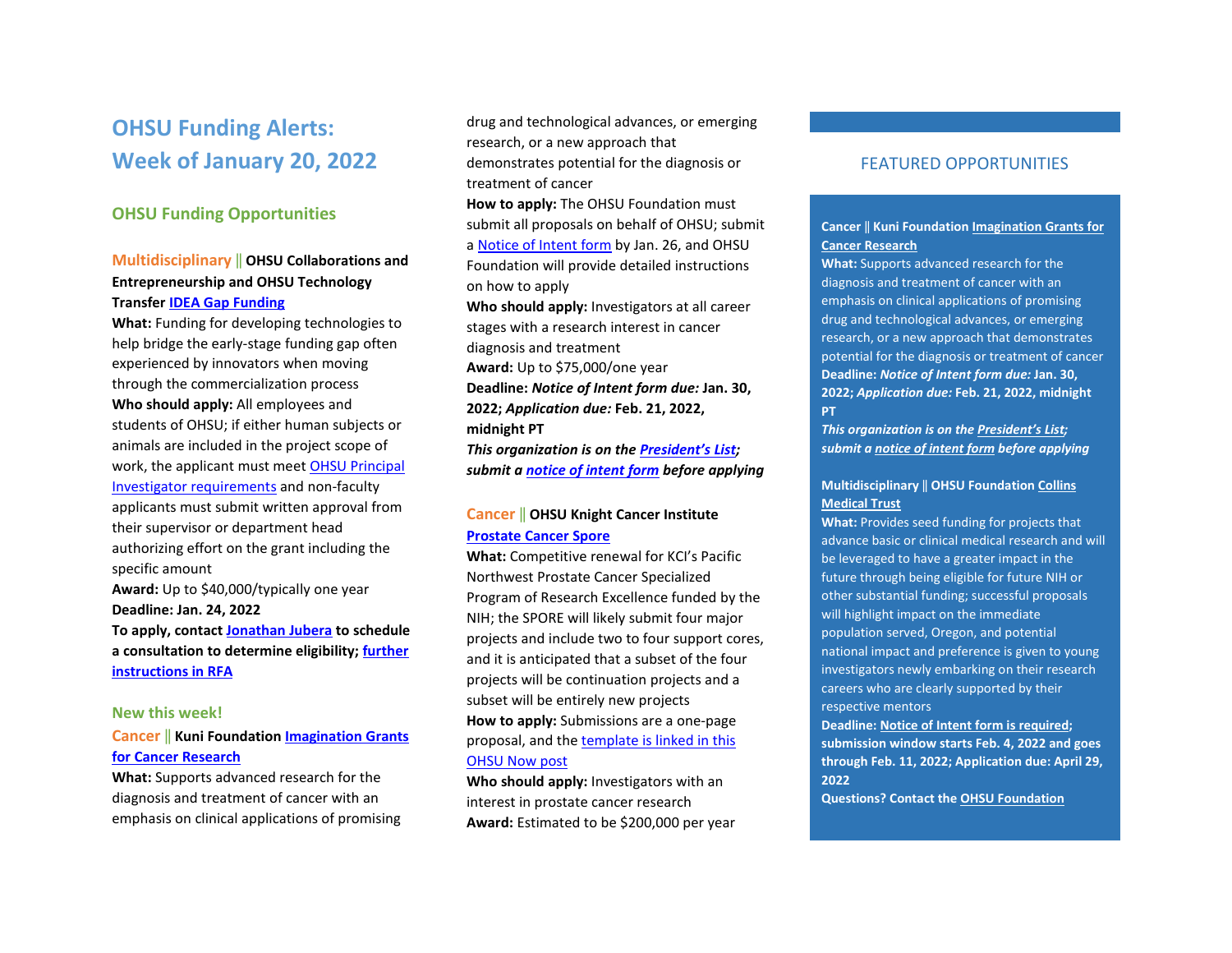# **OHSU Funding Alerts: Week of January 20, 2022**

# **OHSU Funding Opportunities**

# **Multidisciplinary** ‖ **OHSU Collaborations and Entrepreneurship and OHSU Technology Transfer [IDEA Gap Funding](https://www.ohsu.edu/tech-transfer/innovation-programs)**

**What:** Funding for developing technologies to help bridge the early-stage funding gap often experienced by innovators when moving through the commercialization process **Who should apply:** All employees and students of OHSU; if either human subjects or animals are included in the project scope of work, the applicant must meet [OHSU Principal](https://o2.ohsu.edu/proposal-and-award-management/resources/upload/04-00-005-100-Principal-Investigator-Eligibility-6-14-16.pdf)  [Investigator requirements](https://o2.ohsu.edu/proposal-and-award-management/resources/upload/04-00-005-100-Principal-Investigator-Eligibility-6-14-16.pdf) and non-faculty applicants must submit written approval from their supervisor or department head authorizing effort on the grant including the specific amount **Award:** Up to \$40,000/typically one year **Deadline: Jan. 24, 2022 To apply, contac[t Jonathan Jubera](mailto:oce@ohsu.edu) to schedule a consultation to determine eligibility; [further](https://www.ohsu.edu/sites/default/files/2021-08/IDEA%20GAP%20FUNDING_RFA.pdf)  [instructions in RFA](https://www.ohsu.edu/sites/default/files/2021-08/IDEA%20GAP%20FUNDING_RFA.pdf)**

#### **New this week!**

# **Cancer** ‖ **Kuni Foundation [Imagination Grants](https://www.kunifoundation.org/funding-opportunities/cancer-research-grants/)  [for Cancer Research](https://www.kunifoundation.org/funding-opportunities/cancer-research-grants/)**

**What:** Supports advanced research for the diagnosis and treatment of cancer with an emphasis on clinical applications of promising

drug and technological advances, or emerging research, or a new approach that demonstrates potential for the diagnosis or treatment of cancer

**How to apply:** The OHSU Foundation must submit all proposals on behalf of OHSU; submit a [Notice of Intent form](https://app.smartsheet.com/b/form?EQBCT=b4b914967b774308b1947bbf8ab27b15) by Jan. 26, and OHSU Foundation will provide detailed instructions on how to apply

**Who should apply:** Investigators at all career stages with a research interest in cancer diagnosis and treatment **Award:** Up to \$75,000/one year

**Deadline:** *Notice of Intent form due:* **Jan. 30, 2022;** *Application due:* **Feb. 21, 2022, midnight PT** 

*This organization is on th[e President's List;](https://o2.ohsu.edu/foundations/research-program-grants/ohsu-presidents-list/index.cfm)  submit a [notice of intent form](https://app.smartsheet.com/b/form?EQBCT=b4b914967b774308b1947bbf8ab27b15) before applying*

# **Cancer** ‖ **OHSU Knight Cancer Institute [Prostate Cancer Spore](https://now.ohsu.edu/member/post/funding-opportunity-prostate-cancer-spore/53aaaf17-670a-4966-a54b-3cf4154735b1)**

**What:** Competitive renewal for KCI's Pacific Northwest Prostate Cancer Specialized Program of Research Excellence funded by the NIH; the SPORE will likely submit four major projects and include two to four support cores, and it is anticipated that a subset of the four projects will be continuation projects and a subset will be entirely new projects **How to apply:** Submissions are a one-page proposal, and th[e template is linked in this](https://now.ohsu.edu/member/post/funding-opportunity-prostate-cancer-spore/53aaaf17-670a-4966-a54b-3cf4154735b1)  [OHSU Now post](https://now.ohsu.edu/member/post/funding-opportunity-prostate-cancer-spore/53aaaf17-670a-4966-a54b-3cf4154735b1) 

**Who should apply:** Investigators with an interest in prostate cancer research **Award:** Estimated to be \$200,000 per year

# FEATURED OPPORTUNITIES

#### **Cancer** ‖ **Kuni Foundation [Imagination Grants for](https://www.kunifoundation.org/funding-opportunities/cancer-research-grants/)  [Cancer Research](https://www.kunifoundation.org/funding-opportunities/cancer-research-grants/)**

**What:** Supports advanced research for the diagnosis and treatment of cancer with an emphasis on clinical applications of promising drug and technological advances, or emerging research, or a new approach that demonstrates potential for the diagnosis or treatment of cancer **Deadline:** *Notice of Intent form due:* **Jan. 30, 2022;** *Application due:* **Feb. 21, 2022, midnight PT** 

*This organization is on th[e President's List;](https://o2.ohsu.edu/foundations/research-program-grants/ohsu-presidents-list/index.cfm) submit [a notice of intent form](https://app.smartsheet.com/b/form?EQBCT=b4b914967b774308b1947bbf8ab27b15) before applying*

#### **Multidisciplinary** ‖ **OHSU Foundatio[n Collins](https://o2.ohsu.edu/foundations/research-program-grants/collins-medical-trust/index.cfm)  [Medical Trust](https://o2.ohsu.edu/foundations/research-program-grants/collins-medical-trust/index.cfm)**

**What:** Provides seed funding for projects that advance basic or clinical medical research and will be leveraged to have a greater impact in the future through being eligible for future NIH or other substantial funding; successful proposals will highlight impact on the immediate population served, Oregon, and potential national impact and preference is given to young investigators newly embarking on their research careers who are clearly supported by their respective mentors

**Deadline: [Notice of Intent form is required;](https://app.smartsheet.com/b/form?EQBCT=6b30d7c090a14277b9a5afb9fc5583d0) submission window starts Feb. 4, 2022 and goes through Feb. 11, 2022; Application due: April 29, 2022** 

**Questions? Contact th[e OHSU Foundation](mailto:ohsufr@ohsu.edu)**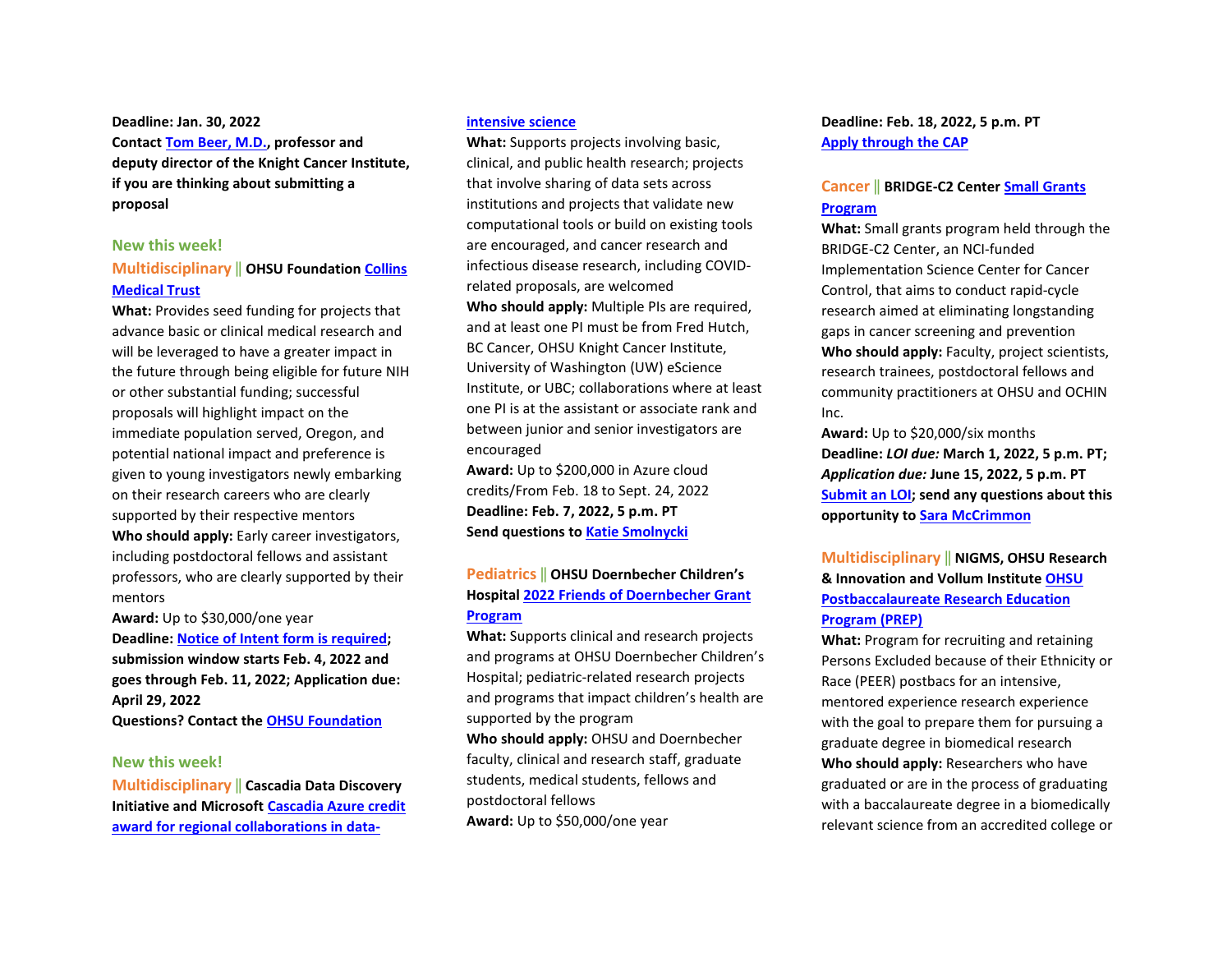**Deadline: Jan. 30, 2022 Contact [Tom Beer, M.D.,](mailto:beert@ohsu.edu) professor and deputy director of the Knight Cancer Institute, if you are thinking about submitting a proposal**

#### **New this week!**

#### **Multidisciplinary** ‖ **OHSU Foundatio[n Collins](https://o2.ohsu.edu/foundations/research-program-grants/collins-medical-trust/index.cfm)  [Medical Trust](https://o2.ohsu.edu/foundations/research-program-grants/collins-medical-trust/index.cfm)**

**What:** Provides seed funding for projects that advance basic or clinical medical research and will be leveraged to have a greater impact in the future through being eligible for future NIH or other substantial funding; successful proposals will highlight impact on the immediate population served, Oregon, and potential national impact and preference is given to young investigators newly embarking on their research careers who are clearly supported by their respective mentors **Who should apply:** Early career investigators, including postdoctoral fellows and assistant professors, who are clearly supported by their mentors

**Award:** Up to \$30,000/one year **Deadline: [Notice of Intent form is required;](https://app.smartsheet.com/b/form?EQBCT=6b30d7c090a14277b9a5afb9fc5583d0) submission window starts Feb. 4, 2022 and goes through Feb. 11, 2022; Application due: April 29, 2022 Questions? Contact th[e OHSU Foundation](mailto:ohsufr@ohsu.edu)**

#### **New this week!**

**Multidisciplinary** ‖ **Cascadia Data Discovery Initiative and Microsoft [Cascadia Azure credit](https://now.ohsu.edu/member/post/funding-opportunity-interdisciplinary-regional-collaborations/c8c7232d-7b42-4f3b-b4ce-4f8b8ef24c35)  [award for regional collaborations in](https://now.ohsu.edu/member/post/funding-opportunity-interdisciplinary-regional-collaborations/c8c7232d-7b42-4f3b-b4ce-4f8b8ef24c35) data-**

#### **[intensive science](https://now.ohsu.edu/member/post/funding-opportunity-interdisciplinary-regional-collaborations/c8c7232d-7b42-4f3b-b4ce-4f8b8ef24c35)**

**What:** Supports projects involving basic, clinical, and public health research; projects that involve sharing of data sets across institutions and projects that validate new computational tools or build on existing tools are encouraged, and cancer research and infectious disease research, including COVIDrelated proposals, are welcomed

**Who should apply:** Multiple PIs are required, and at least one PI must be from Fred Hutch, BC Cancer, OHSU Knight Cancer Institute, University of Washington (UW) eScience Institute, or UBC; collaborations where at least one PI is at the assistant or associate rank and between junior and senior investigators are encouraged

**Award:** Up to \$200,000 in Azure cloud credits/From Feb. 18 to Sept. 24, 2022 **Deadline: Feb. 7, 2022, 5 p.m. PT Send questions t[o Katie Smolnycki](mailto:cascadia@fredhutch.org)**

### **Pediatrics** ‖ **OHSU Doernbecher Children's Hospita[l 2022 Friends of Doernbecher Grant](https://blogs.ohsu.edu/researchnews/files/2021/12/Friends-of-Doernbecher_Grant-RFP_2022.pdf)  [Program](https://blogs.ohsu.edu/researchnews/files/2021/12/Friends-of-Doernbecher_Grant-RFP_2022.pdf)**

**What:** Supports clinical and research projects and programs at OHSU Doernbecher Children's Hospital; pediatric-related research projects and programs that impact children's health are supported by the program

**Who should apply:** OHSU and Doernbecher faculty, clinical and research staff, graduate students, medical students, fellows and postdoctoral fellows

**Award:** Up to \$50,000/one year

**Deadline: Feb. 18, 2022, 5 p.m. PT [Apply through the CAP](https://ohsu.infoready4.com/#competitionDetail/1857487)**

#### **Cancer** ‖ **BRIDGE-C2 Cente[r Small Grants](https://bridgetoinnovation.org/pilot-funding-opportunities-2/)  [Program](https://bridgetoinnovation.org/pilot-funding-opportunities-2/)**

**What:** Small grants program held through the BRIDGE-C2 Center, an NCI-funded Implementation Science Center for Cancer Control, that aims to conduct rapid-cycle research aimed at eliminating longstanding gaps in cancer screening and prevention **Who should apply:** Faculty, project scientists, research trainees, postdoctoral fellows and community practitioners at OHSU and OCHIN Inc.

**Award:** Up to \$20,000/six months **Deadline:** *LOI due:* **March 1, 2022, 5 p.m. PT;**  *Application due:* **June 15, 2022, 5 p.m. PT [Submit an LOI;](https://app.smartsheet.com/b/form/da256b819c89427bab9802398ec270b5) send any questions about this opportunity t[o Sara McCrimmon](mailto:mccrimmo@ohsu.edu)**

# **Multidisciplinary** ‖ **NIGMS, OHSU Research & Innovation and Vollum Institute [OHSU](https://www.ohsu.edu/postbaccalaureate-research-education-program/ohsu-postbaccalaureate-research-education-program-1)  [Postbaccalaureate Research Education](https://www.ohsu.edu/postbaccalaureate-research-education-program/ohsu-postbaccalaureate-research-education-program-1)  [Program \(PREP\)](https://www.ohsu.edu/postbaccalaureate-research-education-program/ohsu-postbaccalaureate-research-education-program-1)**

**What:** Program for recruiting and retaining Persons Excluded because of their Ethnicity or Race (PEER) postbacs for an intensive, mentored experience research experience with the goal to prepare them for pursuing a graduate degree in biomedical research **Who should apply:** Researchers who have graduated or are in the process of graduating with a baccalaureate degree in a biomedically relevant science from an accredited college or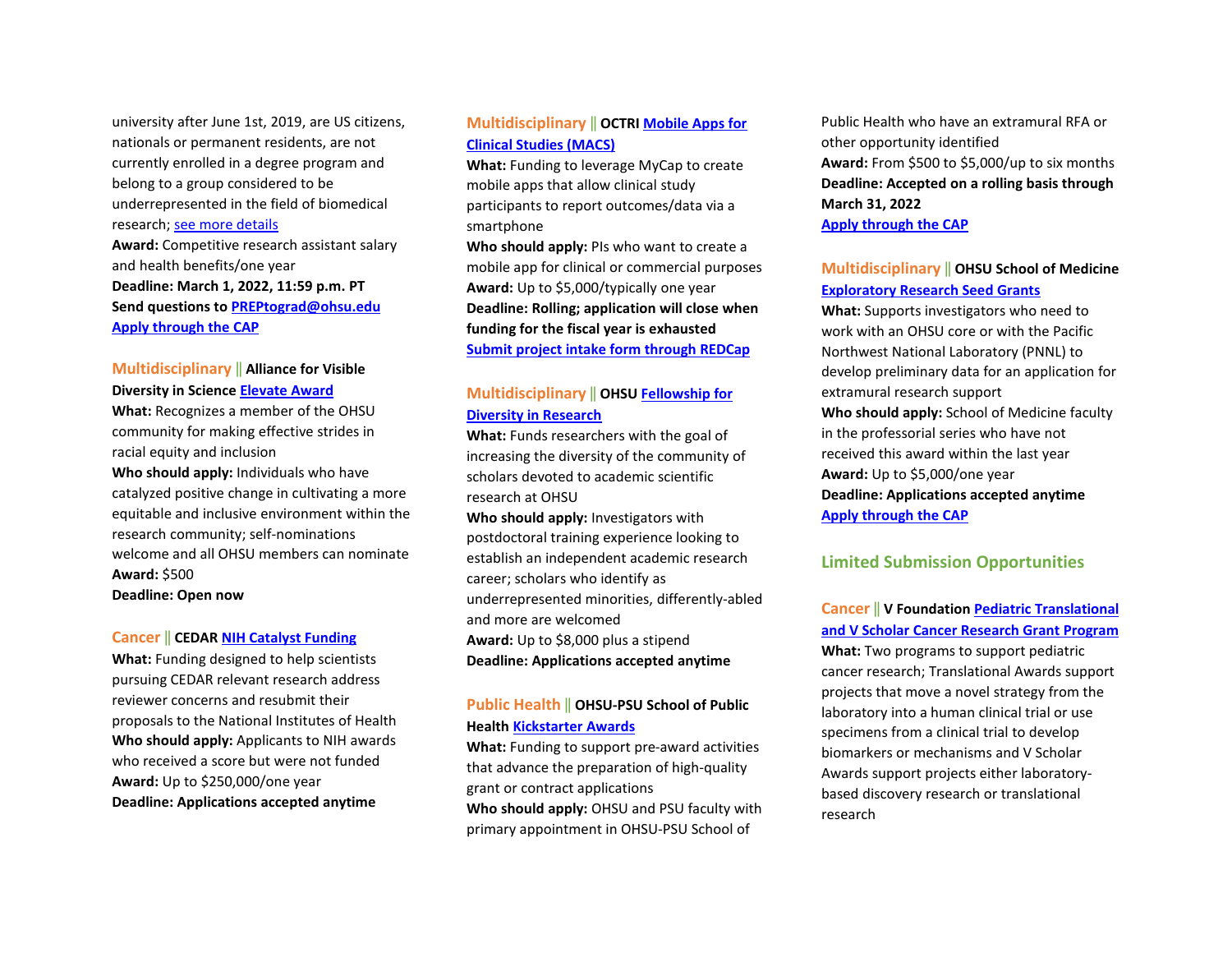university after June 1st, 2019, are US citizens, nationals or permanent residents, are not currently enrolled in a degree program and belong to a group considered to be underrepresented in the field of biomedical research; [see more details](https://www.ohsu.edu/postbaccalaureate-research-education-program/ohsu-postbaccalaureate-research-education-program-1)  **Award:** Competitive research assistant salary and health benefits/one year **Deadline: March 1, 2022, 11:59 p.m. PT Send questions t[o PREPtograd@ohsu.edu](mailto:PREPtograd@ohsu.edu) [Apply through the CAP](https://ohsu.infoready4.com/#competitionDetail/1856154)**

# **Multidisciplinary** ‖ **Alliance for Visible Diversity in Scienc[e Elevate Award](https://ohsu.ca1.qualtrics.com/jfe/form/SV_8koxmEcygX2o30a)**

**What:** Recognizes a member of the OHSU community for making effective strides in racial equity and inclusion

**Who should apply:** Individuals who have catalyzed positive change in cultivating a more equitable and inclusive environment within the research community; self-nominations welcome and all OHSU members can nominate **Award:** \$500

**Deadline: Open now** 

#### **Cancer** ‖ **CEDA[R NIH Catalyst Funding](https://drive.google.com/file/d/1VNyOPOZxoX97AkJQURwMQy_tBzo_uGip/view)**

**What:** Funding designed to help scientists pursuing CEDAR relevant research address reviewer concerns and resubmit their proposals to the National Institutes of Health **Who should apply:** Applicants to NIH awards who received a score but were not funded **Award:** Up to \$250,000/one year **Deadline: Applications accepted anytime**

# **Multidisciplinary** ‖ **OCTR[I Mobile Apps for](https://www.ohsu.edu/octri/pilot-awards-where-translation-begins#:%7E:text=Each%20year%2C%20OCTRI%20awards%20pilot,the%20development%20of%20translational%20research.)  [Clinical Studies \(MACS\)](https://www.ohsu.edu/octri/pilot-awards-where-translation-begins#:%7E:text=Each%20year%2C%20OCTRI%20awards%20pilot,the%20development%20of%20translational%20research.)**

**What:** Funding to leverage MyCap to create mobile apps that allow clinical study participants to report outcomes/data via a smartphone

**Who should apply:** PIs who want to create a mobile app for clinical or commercial purposes **Award:** Up to \$5,000/typically one year **Deadline: Rolling; application will close when funding for the fiscal year is exhausted [Submit project intake form through REDCap](https://octri.ohsu.edu/redcap/surveys/?s=XAD7LYC8TC)**

# **Multidisciplinary** ‖ **OHSU [Fellowship for](https://ohsu.infoready4.com/#competitionDetail/1734209)  [Diversity in Research](https://ohsu.infoready4.com/#competitionDetail/1734209)**

**What:** Funds researchers with the goal of increasing the diversity of the community of scholars devoted to academic scientific research at OHSU

**Who should apply:** Investigators with postdoctoral training experience looking to establish an independent academic research career; scholars who identify as underrepresented minorities, differently-abled and more are welcomed **Award:** Up to \$8,000 plus a stipend **Deadline: Applications accepted anytime** 

### **Public Health** ‖ **OHSU-PSU School of Public Health [Kickstarter Awards](https://blogs.ohsu.edu/researchnews/files/2021/04/2021-22-SPH-Kickstarter.pdf)**

**What:** Funding to support pre-award activities that advance the preparation of high-quality grant or contract applications **Who should apply:** OHSU and PSU faculty with

primary appointment in OHSU-PSU School of

Public Health who have an extramural RFA or other opportunity identified **Award:** From \$500 to \$5,000/up to six months **Deadline: Accepted on a rolling basis through March 31, 2022 [Apply through the CAP](https://ohsu.infoready4.com/#competitionDetail/1841551)**

#### **Multidisciplinary** ‖ **OHSU School of Medicine [Exploratory Research Seed Grants](https://ohsu.infoready4.com/#competitionDetail/1825440)**

**What:** Supports investigators who need to work with an OHSU core or with the Pacific Northwest National Laboratory (PNNL) to develop preliminary data for an application for extramural research support **Who should apply:** School of Medicine faculty in the professorial series who have not received this award within the last year **Award:** Up to \$5,000/one year **Deadline: Applications accepted anytime [Apply through the CAP](https://ohsu.infoready4.com/#competitionDetail/1825440)**

### **Limited Submission Opportunities**

### **Cancer** ‖ **V Foundation [Pediatric Translational](https://ohsu.infoready4.com/#competitionDetail/1860887)  [and V Scholar Cancer Research Grant Program](https://ohsu.infoready4.com/#competitionDetail/1860887)**

**What:** Two programs to support pediatric cancer research; Translational Awards support projects that move a novel strategy from the laboratory into a human clinical trial or use specimens from a clinical trial to develop biomarkers or mechanisms and V Scholar Awards support projects either laboratorybased discovery research or translational research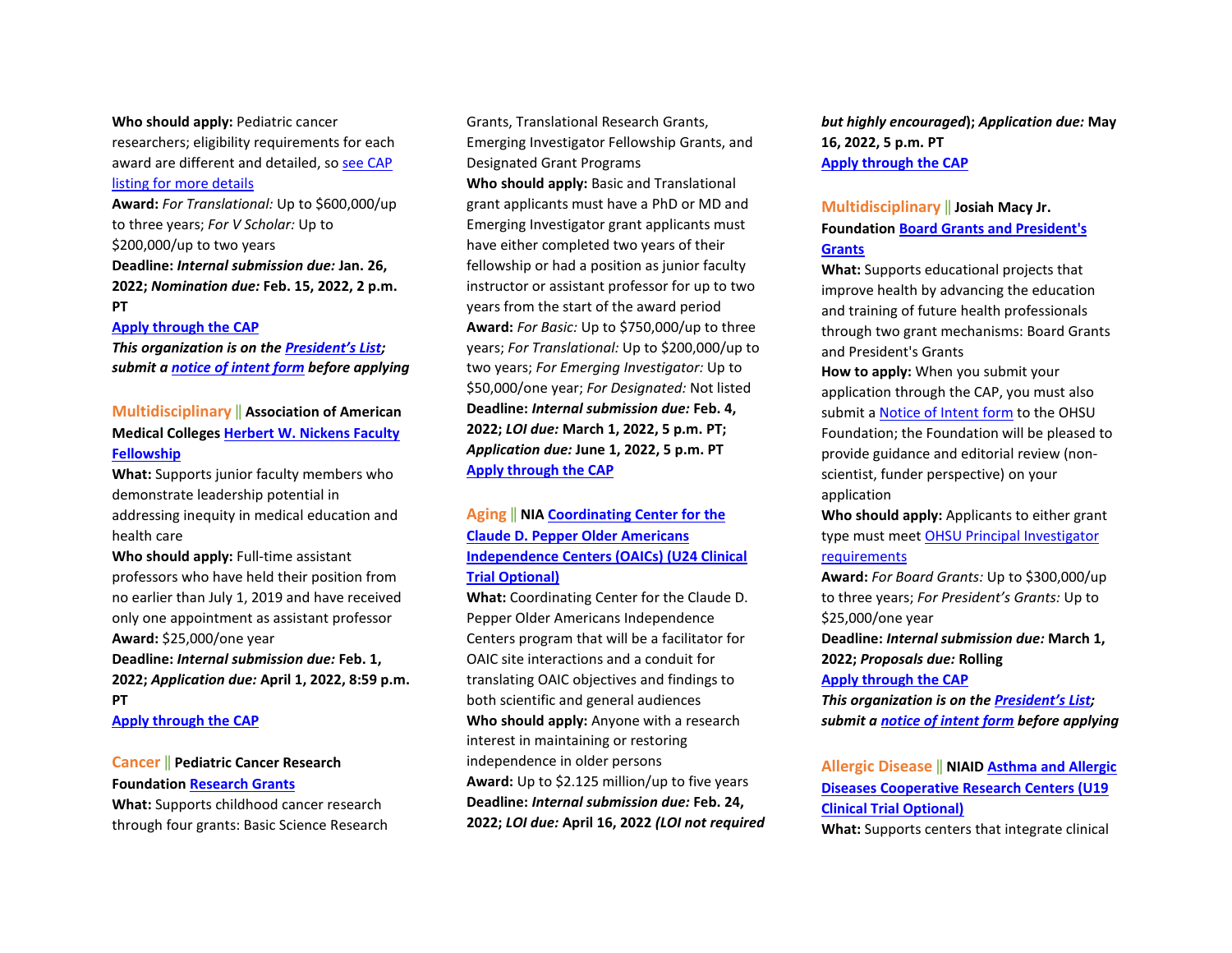**Who should apply:** Pediatric cancer researchers; eligibility requirements for each award are different and detailed, so [see CAP](https://ohsu.infoready4.com/#competitionDetail/1860887)  [listing for more details](https://ohsu.infoready4.com/#competitionDetail/1860887) 

**Award:** *For Translational:* Up to \$600,000/up to three years; *For V Scholar:* Up to \$200,000/up to two years **Deadline:** *Internal submission due:* **Jan. 26, 2022;** *Nomination due:* **Feb. 15, 2022, 2 p.m. PT**

#### **[Apply through the CAP](https://ohsu.infoready4.com/#competitionDetail/1860887)**

*This organization is on th[e President's List;](https://o2.ohsu.edu/foundations/research-program-grants/ohsu-presidents-list/index.cfm)  submit a [notice of intent form](https://app.smartsheet.com/b/form?EQBCT=b4b914967b774308b1947bbf8ab27b15) before applying* 

### **Multidisciplinary** ‖ **Association of American Medical Colleges [Herbert W. Nickens Faculty](https://www.aamc.org/what-we-do/aamc-awards/nickens-faculty-fellowship)  [Fellowship](https://www.aamc.org/what-we-do/aamc-awards/nickens-faculty-fellowship)**

**What:** Supports junior faculty members who demonstrate leadership potential in addressing inequity in medical education and health care

**Who should apply:** Full-time assistant professors who have held their position from no earlier than July 1, 2019 and have received only one appointment as assistant professor **Award:** \$25,000/one year **Deadline:** *Internal submission due:* **Feb. 1,** 

**2022;** *Application due:* **April 1, 2022, 8:59 p.m. PT** 

**[Apply through the CAP](https://ohsu.infoready4.com/#competitionDetail/1858129)**

# **Cancer** ‖ **Pediatric Cancer Research Foundation [Research Grants](https://pcrf-kids.org/funding-process/)**

**What:** Supports childhood cancer research through four grants: Basic Science Research

Grants, Translational Research Grants, Emerging Investigator Fellowship Grants, and Designated Grant Programs **Who should apply:** Basic and Translational grant applicants must have a PhD or MD and Emerging Investigator grant applicants must have either completed two years of their fellowship or had a position as junior faculty instructor or assistant professor for up to two years from the start of the award period **Award:** *For Basic:* Up to \$750,000/up to three years; *For Translational:* Up to \$200,000/up to two years; *For Emerging Investigator:* Up to \$50,000/one year; *For Designated:* Not listed **Deadline:** *Internal submission due:* **Feb. 4, 2022;** *LOI due:* **March 1, 2022, 5 p.m. PT;**  *Application due:* **June 1, 2022, 5 p.m. PT [Apply through the CAP](https://ohsu.infoready4.com/#competitionDetail/1860888)**

# **Aging** ‖ **NIA [Coordinating Center for the](https://grants.nih.gov/grants/guide/rfa-files/RFA-AG-23-006.html)  [Claude D. Pepper Older Americans](https://grants.nih.gov/grants/guide/rfa-files/RFA-AG-23-006.html)  [Independence Centers \(OAICs\) \(U24 Clinical](https://grants.nih.gov/grants/guide/rfa-files/RFA-AG-23-006.html)  [Trial Optional\)](https://grants.nih.gov/grants/guide/rfa-files/RFA-AG-23-006.html)**

**What:** Coordinating Center for the Claude D. Pepper Older Americans Independence Centers program that will be a facilitator for OAIC site interactions and a conduit for translating OAIC objectives and findings to both scientific and general audiences **Who should apply:** Anyone with a research interest in maintaining or restoring independence in older persons **Award:** Up to \$2.125 million/up to five years **Deadline:** *Internal submission due:* **Feb. 24, 2022;** *LOI due:* **April 16, 2022** *(LOI not required*  *but highly encouraged***);** *Application due:* **May 16, 2022, 5 p.m. PT [Apply through the CAP](https://ohsu.infoready4.com/#competitionDetail/1860881)**

# **Multidisciplinary** ‖ **Josiah Macy Jr. Foundation [Board Grants and President's](https://macyfoundation.org/our-grantees/apply)  [Grants](https://macyfoundation.org/our-grantees/apply)**

**What:** Supports educational projects that improve health by advancing the education and training of future health professionals through two grant mechanisms: Board Grants and President's Grants

**How to apply:** When you submit your application through the CAP, you must also submit a [Notice of Intent form](https://o2.ohsu.edu/foundations/research-program-grants/ohsu-presidents-list/notice-of-intent.cfm) to the OHSU Foundation; the Foundation will be pleased to provide guidance and editorial review (nonscientist, funder perspective) on your application

**Who should apply:** Applicants to either grant type must meet [OHSU Principal Investigator](https://o2.ohsu.edu/proposal-and-award-management/resources/upload/04-00-005-100-Principal-Investigator-Eligibility-6-14-16.pdf)  [requirements](https://o2.ohsu.edu/proposal-and-award-management/resources/upload/04-00-005-100-Principal-Investigator-Eligibility-6-14-16.pdf)

**Award:** *For Board Grants:* Up to \$300,000/up to three years; *For President's Grants:* Up to \$25,000/one year

**Deadline:** *Internal submission due:* **March 1, 2022;** *Proposals due:* **Rolling** 

#### **[Apply through the CAP](https://ohsu.infoready4.com/#competitionDetail/1860335)**

*This organization is on th[e President's List;](https://o2.ohsu.edu/foundations/research-program-grants/ohsu-presidents-list/index.cfm)  submit a [notice of intent form](https://app.smartsheet.com/b/form?EQBCT=b4b914967b774308b1947bbf8ab27b15) before applying* 

**Allergic Disease** ‖ **NIAID [Asthma and Allergic](https://grants.nih.gov/grants/guide/rfa-files/RFA-AI-21-079.html)  [Diseases Cooperative Research Centers \(U19](https://grants.nih.gov/grants/guide/rfa-files/RFA-AI-21-079.html)  [Clinical Trial Optional\)](https://grants.nih.gov/grants/guide/rfa-files/RFA-AI-21-079.html)**

**What:** Supports centers that integrate clinical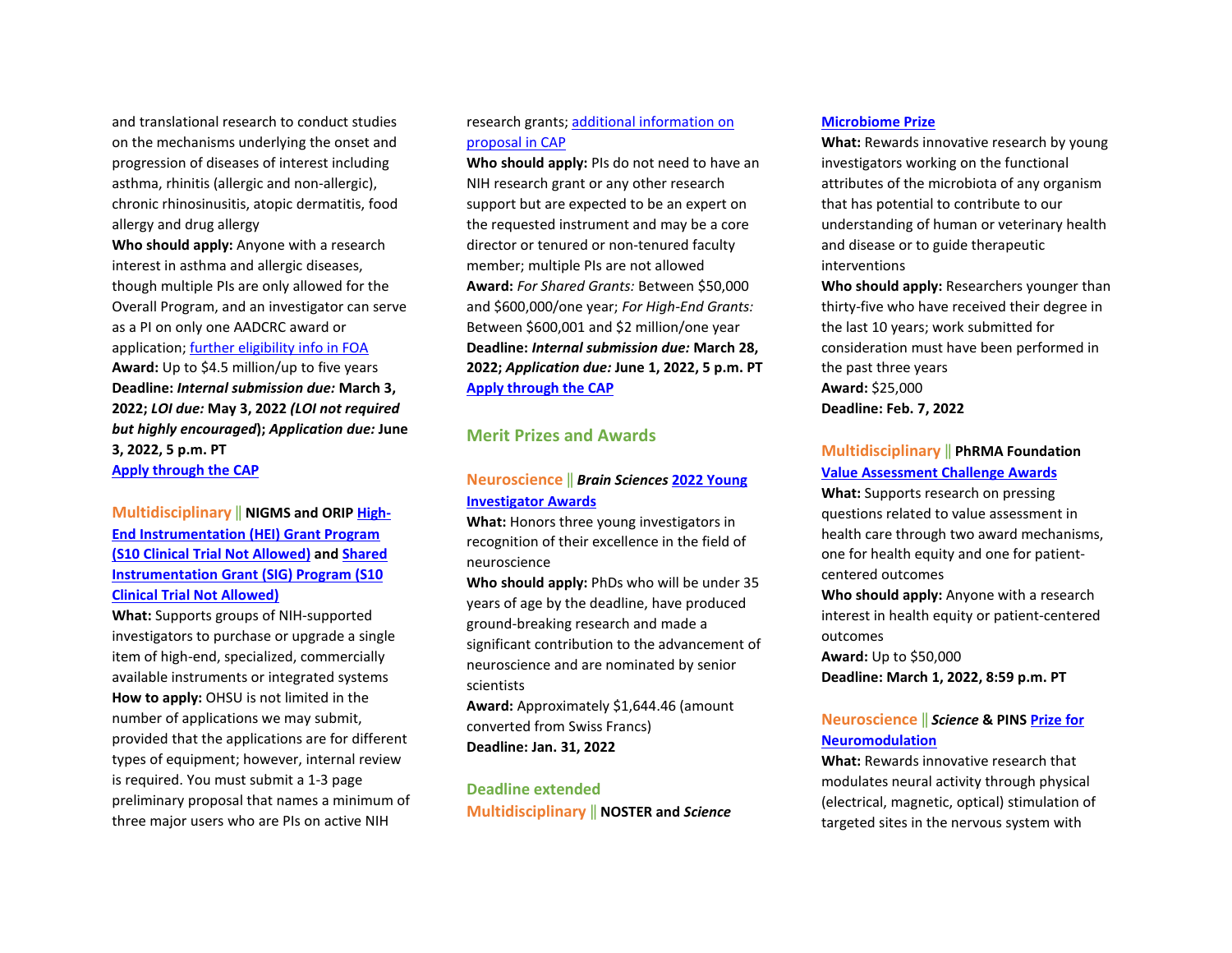and translational research to conduct studies on the mechanisms underlying the onset and progression of diseases of interest including asthma, rhinitis (allergic and non-allergic), chronic rhinosinusitis, atopic dermatitis, food allergy and drug allergy

**Who should apply:** Anyone with a research interest in asthma and allergic diseases, though multiple PIs are only allowed for the Overall Program, and an investigator can serve as a PI on only one AADCRC award or application; [further eligibility info in FOA](https://grants.nih.gov/grants/guide/rfa-files/RFA-AI-21-079.html#_Section_III._Eligibility)  **Award:** Up to \$4.5 million/up to five years **Deadline:** *Internal submission due:* **March 3, 2022;** *LOI due:* **May 3, 2022** *(LOI not required but highly encouraged***);** *Application due:* **June 3, 2022, 5 p.m. PT [Apply through the CAP](https://ohsu.infoready4.com/#competitionDetail/1860084)**

# **Multidisciplinary** ‖ **NIGMS and ORI[P High-](https://grants.nih.gov/grants/guide/pa-files/PAR-22-079.html)[End Instrumentation \(HEI\) Grant Program](https://grants.nih.gov/grants/guide/pa-files/PAR-22-079.html)  [\(S10 Clinical Trial Not Allowed\)](https://grants.nih.gov/grants/guide/pa-files/PAR-22-079.html) and [Shared](https://grants.nih.gov/grants/guide/pa-files/PAR-22-080.html)  [Instrumentation Grant \(SIG\) Program \(S10](https://grants.nih.gov/grants/guide/pa-files/PAR-22-080.html)  [Clinical Trial Not Allowed\)](https://grants.nih.gov/grants/guide/pa-files/PAR-22-080.html)**

**What:** Supports groups of NIH-supported investigators to purchase or upgrade a single item of high-end, specialized, commercially available instruments or integrated systems **How to apply:** OHSU is not limited in the number of applications we may submit, provided that the applications are for different types of equipment; however, internal review is required. You must submit a 1-3 page preliminary proposal that names a minimum of three major users who are PIs on active NIH

### research grants; [additional information on](https://ohsu.infoready4.com/#competitionDetail/1860886)  [proposal in CAP](https://ohsu.infoready4.com/#competitionDetail/1860886)

**Who should apply:** PIs do not need to have an NIH research grant or any other research support but are expected to be an expert on the requested instrument and may be a core director or tenured or non-tenured faculty member; multiple PIs are not allowed **Award:** *For Shared Grants:* Between \$50,000 and \$600,000/one year; *For High-End Grants:* Between \$600,001 and \$2 million/one year **Deadline:** *Internal submission due:* **March 28, 2022;** *Application due:* **June 1, 2022, 5 p.m. PT [Apply through the CAP](https://ohsu.infoready4.com/#competitionDetail/1860886)**

### **Merit Prizes and Awards**

# **Neuroscience** ‖ *Brain Sciences* **[2022 Young](https://www.mdpi.com/journal/brainsci/awards/1553)  [Investigator Awards](https://www.mdpi.com/journal/brainsci/awards/1553)**

**What:** Honors three young investigators in recognition of their excellence in the field of neuroscience

**Who should apply:** PhDs who will be under 35 years of age by the deadline, have produced ground-breaking research and made a significant contribution to the advancement of neuroscience and are nominated by senior scientists

**Award:** Approximately \$1,644.46 (amount converted from Swiss Francs)

**Deadline: Jan. 31, 2022** 

#### **Deadline extended**

**Multidisciplinary** ‖ **NOSTER and** *Science*

#### **[Microbiome Prize](https://www.science.org/content/page/noster-science-microbiome-prize?utm_source=house-list&utm_medium=email&utm_campaign=prizes-2022&et_rid=79523537&et_cid=3998726&)**

**What:** Rewards innovative research by young investigators working on the functional attributes of the microbiota of any organism that has potential to contribute to our understanding of human or veterinary health and disease or to guide therapeutic interventions

**Who should apply:** Researchers younger than thirty-five who have received their degree in the last 10 years; work submitted for consideration must have been performed in the past three years **Award:** \$25,000 **Deadline: Feb. 7, 2022**

#### **Multidisciplinary** ‖ **PhRMA Foundation [Value Assessment Challenge Awards](https://www.phrmafoundation.org/challenge-awards/)**

**What:** Supports research on pressing questions related to value assessment in health care through two award mechanisms, one for health equity and one for patientcentered outcomes

**Who should apply:** Anyone with a research interest in health equity or patient-centered outcomes

**Award:** Up to \$50,000 **Deadline: March 1, 2022, 8:59 p.m. PT**

# **Neuroscience** ‖ *Science* **& PIN[S Prize for](https://www.science.org/content/page/science-pins-prize-neuromodulation?utm_source=1stparty&utm_medium=email&utm_content=pins&utm_campaign=prizes-2022&et_rid=79523537&et_cid=4059311&)  [Neuromodulation](https://www.science.org/content/page/science-pins-prize-neuromodulation?utm_source=1stparty&utm_medium=email&utm_content=pins&utm_campaign=prizes-2022&et_rid=79523537&et_cid=4059311&)**

**What:** Rewards innovative research that modulates neural activity through physical (electrical, magnetic, optical) stimulation of targeted sites in the nervous system with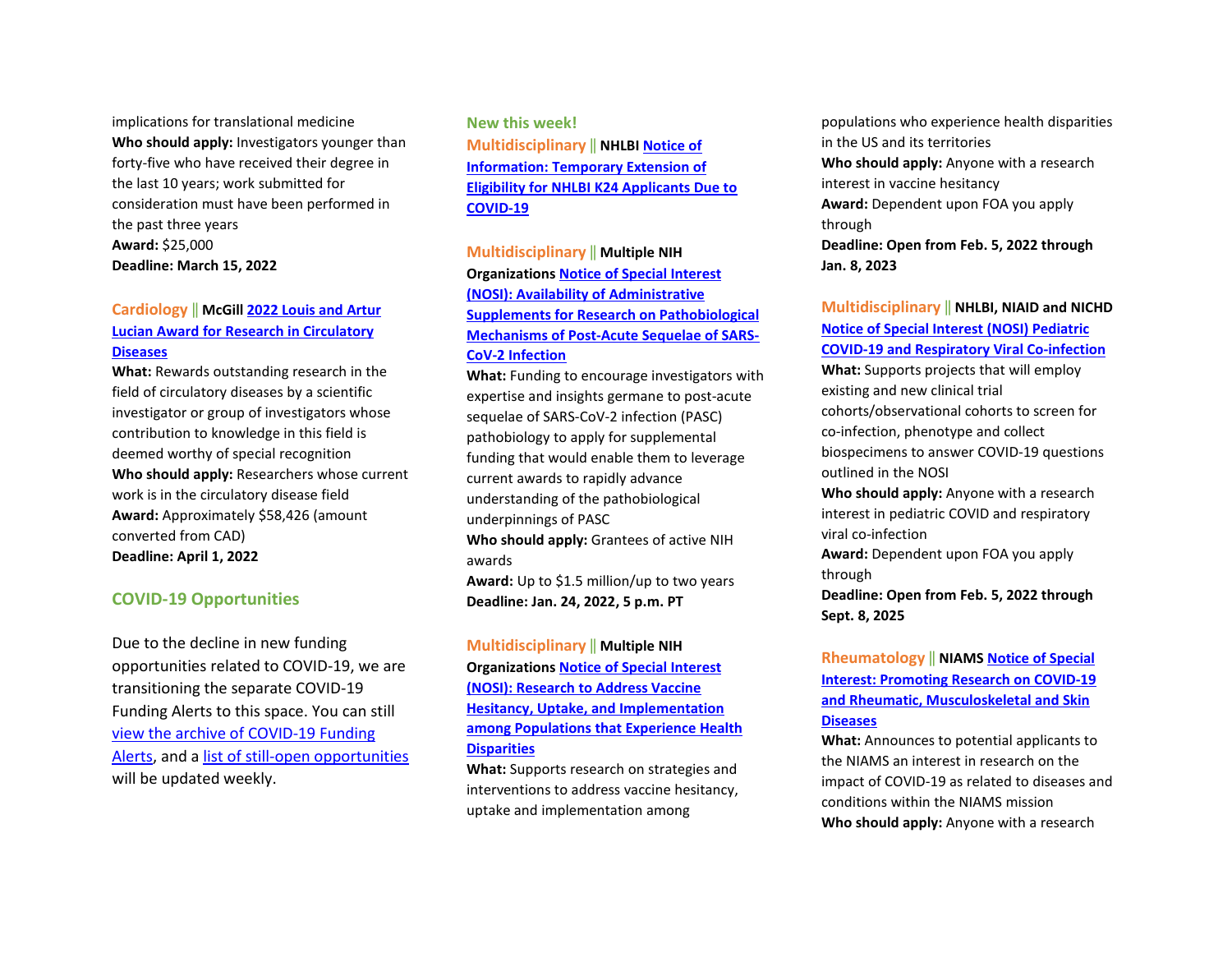implications for translational medicine **Who should apply:** Investigators younger than forty-five who have received their degree in the last 10 years; work submitted for consideration must have been performed in the past three years **Award:** \$25,000 **Deadline: March 15, 2022** 

# **Cardiology** ‖ **McGil[l 2022 Louis and Artur](https://www.mcgill.ca/lucianaward/)  Lucian Award [for Research in Circulatory](https://www.mcgill.ca/lucianaward/)  [Diseases](https://www.mcgill.ca/lucianaward/)**

**What:** Rewards outstanding research in the field of circulatory diseases by a scientific investigator or group of investigators whose contribution to knowledge in this field is deemed worthy of special recognition **Who should apply:** Researchers whose current work is in the circulatory disease field **Award:** Approximately \$58,426 (amount converted from CAD) **Deadline: April 1, 2022** 

### **COVID-19 Opportunities**

Due to the decline in new funding opportunities related to COVID-19, we are transitioning the separate COVID-19 Funding Alerts to this space. You can still [view the archive of COVID-19 Funding](https://blogs.ohsu.edu/researchnews/tag/covid-19-funding/)  [Alerts,](https://blogs.ohsu.edu/researchnews/tag/covid-19-funding/) and [a list of still-open opportunities](https://blogs.ohsu.edu/researchnews/2021/06/17/ohsu-covid-19-fu%E2%80%A6en-opportunities/) will be updated weekly.

**New this week! Multidisciplinary** ‖ **NHLBI [Notice of](https://grants.nih.gov/grants/guide/notice-files/NOT-HL-22-007.html)  [Information: Temporary Extension of](https://grants.nih.gov/grants/guide/notice-files/NOT-HL-22-007.html)  [Eligibility for NHLBI K24 Applicants Due to](https://grants.nih.gov/grants/guide/notice-files/NOT-HL-22-007.html)  [COVID-19](https://grants.nih.gov/grants/guide/notice-files/NOT-HL-22-007.html)**

# **Multidisciplinary** ‖ **Multiple NIH Organization[s Notice of Special Interest](https://grants.nih.gov/grants/guide/notice-files/NOT-OD-22-038.html)  [\(NOSI\): Availability of Administrative](https://grants.nih.gov/grants/guide/notice-files/NOT-OD-22-038.html)  [Supplements for Research on Pathobiological](https://grants.nih.gov/grants/guide/notice-files/NOT-OD-22-038.html)  [Mechanisms of Post-Acute Sequelae of SARS-](https://grants.nih.gov/grants/guide/notice-files/NOT-OD-22-038.html)[CoV-2 Infection](https://grants.nih.gov/grants/guide/notice-files/NOT-OD-22-038.html)**

**What:** Funding to encourage investigators with expertise and insights germane to post-acute sequelae of SARS-CoV-2 infection (PASC) pathobiology to apply for supplemental funding that would enable them to leverage current awards to rapidly advance understanding of the pathobiological underpinnings of PASC **Who should apply:** Grantees of active NIH awards **Award:** Up to \$1.5 million/up to two years **Deadline: Jan. 24, 2022, 5 p.m. PT** 

# **Multidisciplinary** ‖ **Multiple NIH Organization[s Notice of Special Interest](https://grants.nih.gov/grants/guide/notice-files/NOT-MD-22-006.html)  [\(NOSI\): Research to Address Vaccine](https://grants.nih.gov/grants/guide/notice-files/NOT-MD-22-006.html)  [Hesitancy, Uptake, and Implementation](https://grants.nih.gov/grants/guide/notice-files/NOT-MD-22-006.html)  [among Populations that Experience Health](https://grants.nih.gov/grants/guide/notice-files/NOT-MD-22-006.html)  [Disparities](https://grants.nih.gov/grants/guide/notice-files/NOT-MD-22-006.html)**

**What:** Supports research on strategies and interventions to address vaccine hesitancy, uptake and implementation among

populations who experience health disparities in the US and its territories **Who should apply:** Anyone with a research interest in vaccine hesitancy **Award:** Dependent upon FOA you apply through **Deadline: Open from Feb. 5, 2022 through Jan. 8, 2023** 

**Multidisciplinary** ‖ **NHLBI, NIAID and NICHD [Notice of Special Interest \(NOSI\) Pediatric](https://grants.nih.gov/grants/guide/notice-files/NOT-HL-22-004.html)  [COVID-19 and Respiratory Viral Co-infection](https://grants.nih.gov/grants/guide/notice-files/NOT-HL-22-004.html) What:** Supports projects that will employ existing and new clinical trial cohorts/observational cohorts to screen for co-infection, phenotype and collect biospecimens to answer COVID-19 questions outlined in the NOSI **Who should apply:** Anyone with a research interest in pediatric COVID and respiratory

viral co-infection

**Award:** Dependent upon FOA you apply through

**Deadline: Open from Feb. 5, 2022 through Sept. 8, 2025** 

# **Rheumatology** ‖ **NIAM[S Notice of Special](https://grants.nih.gov/grants/guide/notice-files/NOT-AR-22-012.html)  [Interest: Promoting Research on COVID-19](https://grants.nih.gov/grants/guide/notice-files/NOT-AR-22-012.html)  [and Rheumatic, Musculoskeletal and Skin](https://grants.nih.gov/grants/guide/notice-files/NOT-AR-22-012.html)  [Diseases](https://grants.nih.gov/grants/guide/notice-files/NOT-AR-22-012.html)**

**What:** Announces to potential applicants to the NIAMS an interest in research on the impact of COVID-19 as related to diseases and conditions within the NIAMS mission **Who should apply:** Anyone with a research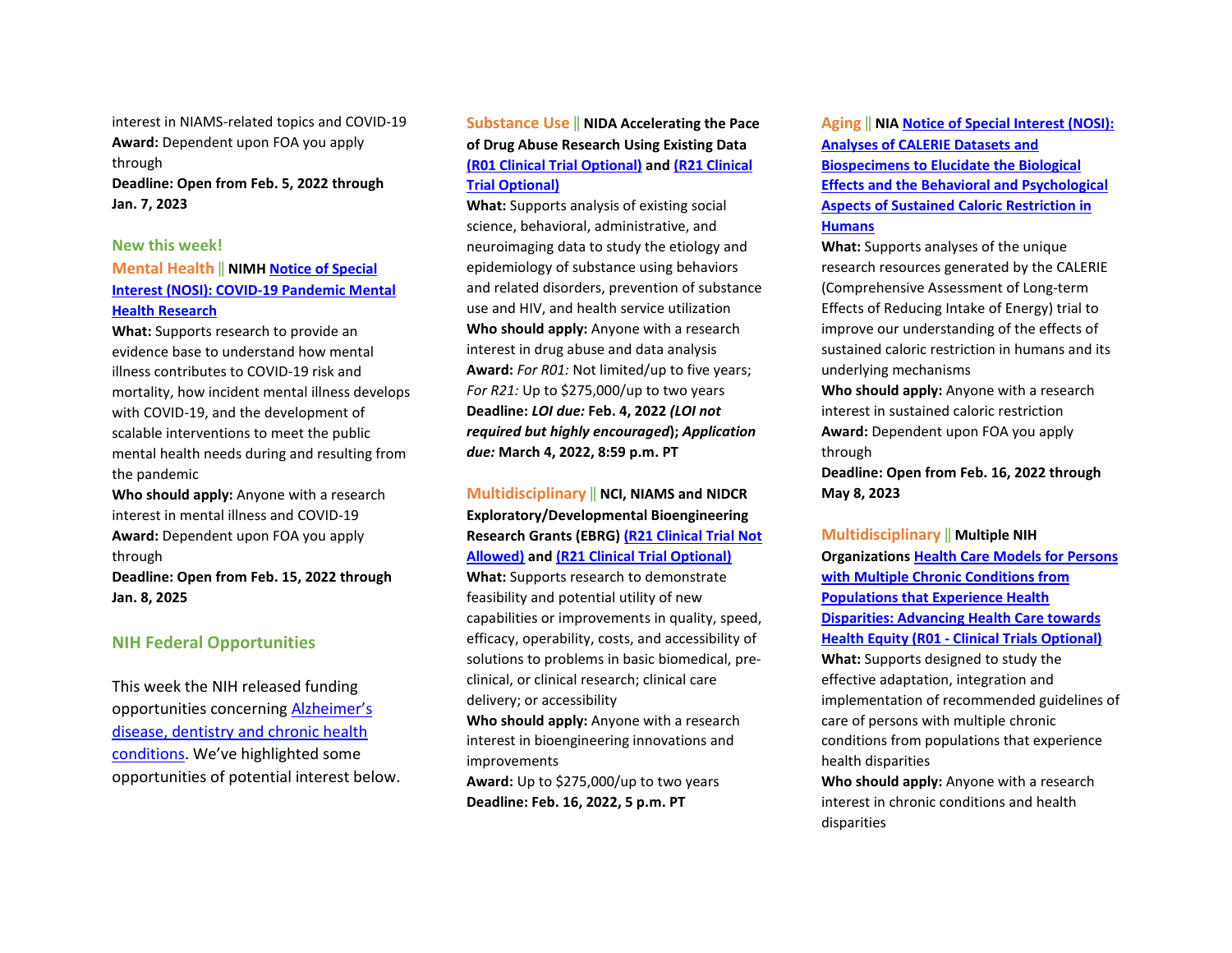interest in NIAMS-related topics and COVID-19 **Award:** Dependent upon FOA you apply through

**Deadline: Open from Feb. 5, 2022 through Jan. 7, 2023** 

#### **New this week!**

### **Mental Health** ‖ **NIMH [Notice of Special](https://grants.nih.gov/grants/guide/notice-files/NOT-MH-22-100.html)  [Interest \(NOSI\): COVID-19 Pandemic Mental](https://grants.nih.gov/grants/guide/notice-files/NOT-MH-22-100.html)  [Health Research](https://grants.nih.gov/grants/guide/notice-files/NOT-MH-22-100.html)**

**What:** Supports research to provide an evidence base to understand how mental illness contributes to COVID-19 risk and mortality, how incident mental illness develops with COVID-19, and the development of scalable interventions to meet the public mental health needs during and resulting from the pandemic

**Who should apply:** Anyone with a research interest in mental illness and COVID-19 **Award:** Dependent upon FOA you apply through

**Deadline: Open from Feb. 15, 2022 through Jan. 8, 2025**

### **NIH Federal Opportunities**

This week the NIH released funding opportunities concerning [Alzheimer's](https://grants.nih.gov/grants/guide/WeeklyIndexMobile.cfm?WeekEnding=01-14-2022)  [disease, dentistry and chronic health](https://grants.nih.gov/grants/guide/WeeklyIndexMobile.cfm?WeekEnding=01-14-2022)  [conditions.](https://grants.nih.gov/grants/guide/WeeklyIndexMobile.cfm?WeekEnding=01-14-2022) We've highlighted some opportunities of potential interest below.

# **Substance Use** ‖ **NIDA Accelerating the Pace of Drug Abuse Research Using Existing Data [\(R01 Clinical Trial Optional\)](https://grants.nih.gov/grants/guide/rfa-files/RFA-DA-22-037.html) and [\(R21 Clinical](https://grants.nih.gov/grants/guide/rfa-files/RFA-DA-22-038.html)  [Trial Optional\)](https://grants.nih.gov/grants/guide/rfa-files/RFA-DA-22-038.html)**

**What:** Supports analysis of existing social science, behavioral, administrative, and neuroimaging data to study the etiology and epidemiology of substance using behaviors and related disorders, prevention of substance use and HIV, and health service utilization **Who should apply:** Anyone with a research interest in drug abuse and data analysis **Award:** *For R01:* Not limited/up to five years; *For R21:* Up to \$275,000/up to two years **Deadline:** *LOI due:* **Feb. 4, 2022** *(LOI not required but highly encouraged***);** *Application due:* **March 4, 2022, 8:59 p.m. PT**

# **Multidisciplinary** ‖ **NCI, NIAMS and NIDCR Exploratory/Developmental Bioengineering Research Grants (EBRG) [\(R21 Clinical Trial Not](https://grants.nih.gov/grants/guide/pa-files/PAR-22-090.html)  [Allowed\)](https://grants.nih.gov/grants/guide/pa-files/PAR-22-090.html) an[d \(R21 Clinical Trial Optional\)](https://grants.nih.gov/grants/guide/pa-files/PAR-22-091.html)**

**What:** Supports research to demonstrate feasibility and potential utility of new capabilities or improvements in quality, speed, efficacy, operability, costs, and accessibility of solutions to problems in basic biomedical, preclinical, or clinical research; clinical care delivery; or accessibility

**Who should apply:** Anyone with a research interest in bioengineering innovations and improvements

**Award:** Up to \$275,000/up to two years **Deadline: Feb. 16, 2022, 5 p.m. PT**

### **Aging** ‖ **NIA [Notice of Special Interest \(NOSI\):](https://grants.nih.gov/grants/guide/notice-files/NOT-AG-21-028.html)  [Analyses of CALERIE Datasets and](https://grants.nih.gov/grants/guide/notice-files/NOT-AG-21-028.html)**

**[Biospecimens to Elucidate the Biological](https://grants.nih.gov/grants/guide/notice-files/NOT-AG-21-028.html)  [Effects and the Behavioral and Psychological](https://grants.nih.gov/grants/guide/notice-files/NOT-AG-21-028.html)  [Aspects of Sustained Caloric Restriction in](https://grants.nih.gov/grants/guide/notice-files/NOT-AG-21-028.html)  [Humans](https://grants.nih.gov/grants/guide/notice-files/NOT-AG-21-028.html)**

**What:** Supports analyses of the unique research resources generated by the CALERIE (Comprehensive Assessment of Long-term Effects of Reducing Intake of Energy) trial to improve our understanding of the effects of sustained caloric restriction in humans and its underlying mechanisms

**Who should apply:** Anyone with a research interest in sustained caloric restriction **Award:** Dependent upon FOA you apply through

**Deadline: Open from Feb. 16, 2022 through May 8, 2023**

**Multidisciplinary** ‖ **Multiple NIH Organization[s Health Care Models for Persons](https://grants.nih.gov/grants/guide/pa-files/PAR-22-092.html)  [with Multiple Chronic Conditions from](https://grants.nih.gov/grants/guide/pa-files/PAR-22-092.html)  [Populations that Experience Health](https://grants.nih.gov/grants/guide/pa-files/PAR-22-092.html)  [Disparities: Advancing Health Care towards](https://grants.nih.gov/grants/guide/pa-files/PAR-22-092.html)  Health Equity (R01 - [Clinical Trials Optional\)](https://grants.nih.gov/grants/guide/pa-files/PAR-22-092.html) What:** Supports designed to study the effective adaptation, integration and implementation of recommended guidelines of care of persons with multiple chronic conditions from populations that experience health disparities **Who should apply:** Anyone with a research interest in chronic conditions and health

disparities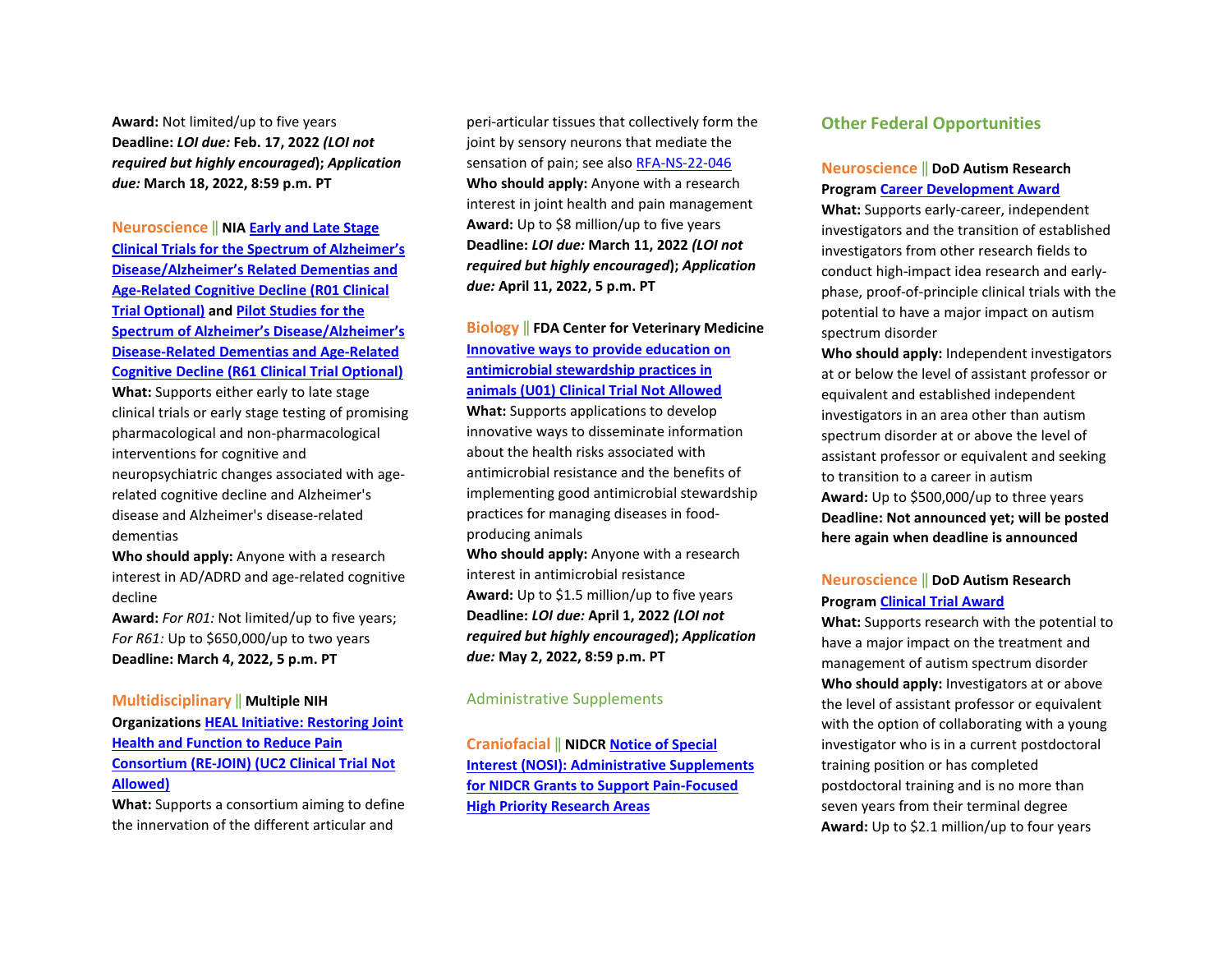**Award:** Not limited/up to five years **Deadline:** *LOI due:* **Feb. 17, 2022** *(LOI not required but highly encouraged***);** *Application due:* **March 18, 2022, 8:59 p.m. PT**

**Neuroscience** ‖ **NI[A Early and Late Stage](https://grants.nih.gov/grants/guide/pa-files/PAR-21-359.html)  [Clinical Trials for the Spectrum of Alzheimer's](https://grants.nih.gov/grants/guide/pa-files/PAR-21-359.html)  [Disease/Alzheimer's Related Dementias and](https://grants.nih.gov/grants/guide/pa-files/PAR-21-359.html)  [Age-Related Cognitive Decline \(R01 Clinical](https://grants.nih.gov/grants/guide/pa-files/PAR-21-359.html)  [Trial Optional\)](https://grants.nih.gov/grants/guide/pa-files/PAR-21-359.html) and [Pilot Studies for the](https://grants.nih.gov/grants/guide/pa-files/PAR-21-360.html)  [Spectrum of Alzheimer's Disease/Alzheimer's](https://grants.nih.gov/grants/guide/pa-files/PAR-21-360.html)  [Disease-Related Dementias and Age-Related](https://grants.nih.gov/grants/guide/pa-files/PAR-21-360.html)  [Cognitive Decline \(R61 Clinical Trial Optional\)](https://grants.nih.gov/grants/guide/pa-files/PAR-21-360.html)**

**What:** Supports either early to late stage clinical trials or early stage testing of promising pharmacological and non-pharmacological interventions for cognitive and neuropsychiatric changes associated with agerelated cognitive decline and Alzheimer's

disease and Alzheimer's disease-related dementias

**Who should apply:** Anyone with a research interest in AD/ADRD and age-related cognitive decline

**Award:** *For R01:* Not limited/up to five years; *For R61:* Up to \$650,000/up to two years **Deadline: March 4, 2022, 5 p.m. PT**

#### **Multidisciplinary** ‖ **Multiple NIH**

**Organization[s HEAL Initiative: Restoring Joint](https://grants.nih.gov/grants/guide/rfa-files/RFA-AR-22-009.html)  [Health and Function to Reduce Pain](https://grants.nih.gov/grants/guide/rfa-files/RFA-AR-22-009.html)  [Consortium \(RE-JOIN\) \(UC2 Clinical Trial Not](https://grants.nih.gov/grants/guide/rfa-files/RFA-AR-22-009.html)  [Allowed\)](https://grants.nih.gov/grants/guide/rfa-files/RFA-AR-22-009.html)**

**What:** Supports a consortium aiming to define the innervation of the different articular and

peri-articular tissues that collectively form the joint by sensory neurons that mediate the sensation of pain; see also [RFA-NS-22-046](https://grants.nih.gov/grants/guide/rfa-files/RFA-NS-22-046.html)  **Who should apply:** Anyone with a research interest in joint health and pain management **Award:** Up to \$8 million/up to five years **Deadline:** *LOI due:* **March 11, 2022** *(LOI not required but highly encouraged***);** *Application due:* **April 11, 2022, 5 p.m. PT**

# **Biology** ‖ **FDA Center for Veterinary Medicine [Innovative ways to provide education on](https://grants.nih.gov/grants/guide/pa-files/PAR-22-108.html)  [antimicrobial stewardship practices in](https://grants.nih.gov/grants/guide/pa-files/PAR-22-108.html)  [animals \(U01\) Clinical Trial Not Allowed](https://grants.nih.gov/grants/guide/pa-files/PAR-22-108.html)**

**What:** Supports applications to develop innovative ways to disseminate information about the health risks associated with antimicrobial resistance and the benefits of implementing good antimicrobial stewardship practices for managing diseases in foodproducing animals

**Who should apply:** Anyone with a research interest in antimicrobial resistance **Award:** Up to \$1.5 million/up to five years **Deadline:** *LOI due:* **April 1, 2022** *(LOI not required but highly encouraged***);** *Application due:* **May 2, 2022, 8:59 p.m. PT**

#### Administrative Supplements

**Craniofacial** ‖ **NIDCR [Notice of Special](https://grants.nih.gov/grants/guide/notice-files/NOT-DE-22-002.html)  [Interest \(NOSI\): Administrative Supplements](https://grants.nih.gov/grants/guide/notice-files/NOT-DE-22-002.html)  [for NIDCR Grants to Support Pain-Focused](https://grants.nih.gov/grants/guide/notice-files/NOT-DE-22-002.html)  [High Priority Research Areas](https://grants.nih.gov/grants/guide/notice-files/NOT-DE-22-002.html)**

#### **Other Federal Opportunities**

### **Neuroscience** ‖ **DoD Autism Research Program [Career Development Award](https://cdmrp.army.mil/pubs/press/2022/22arppreann)**

**What:** Supports early-career, independent investigators and the transition of established investigators from other research fields to conduct high-impact idea research and earlyphase, proof-of-principle clinical trials with the potential to have a major impact on autism spectrum disorder

**Who should apply:** Independent investigators at or below the level of assistant professor or equivalent and established independent investigators in an area other than autism spectrum disorder at or above the level of assistant professor or equivalent and seeking to transition to a career in autism **Award:** Up to \$500,000/up to three years **Deadline: Not announced yet; will be posted here again when deadline is announced** 

### **Neuroscience** ‖ **DoD Autism Research Program [Clinical Trial Award](https://cdmrp.army.mil/pubs/press/2022/22arppreann)**

**What:** Supports research with the potential to have a major impact on the treatment and management of autism spectrum disorder **Who should apply:** Investigators at or above the level of assistant professor or equivalent with the option of collaborating with a young investigator who is in a current postdoctoral training position or has completed postdoctoral training and is no more than seven years from their terminal degree **Award:** Up to \$2.1 million/up to four years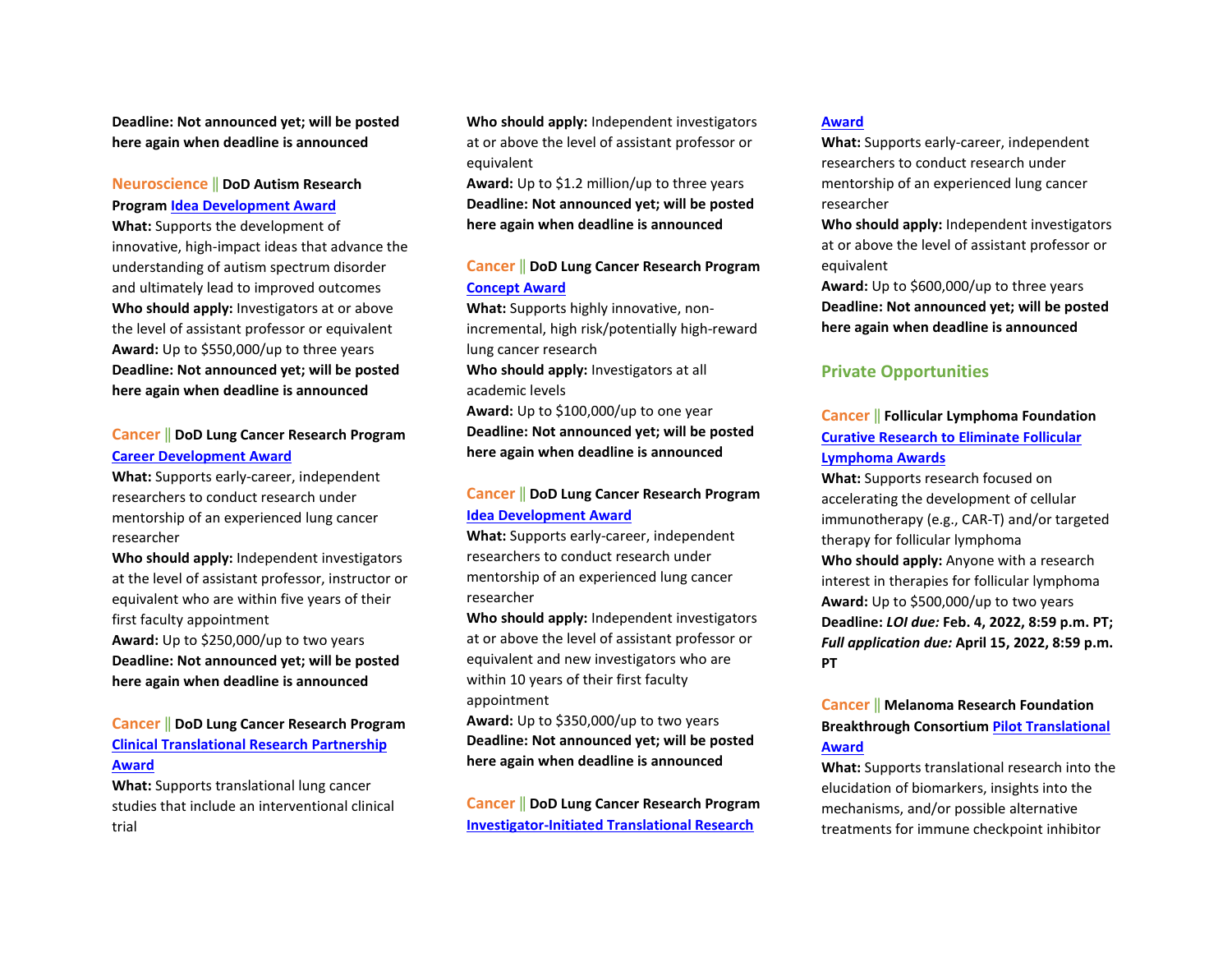**Deadline: Not announced yet; will be posted here again when deadline is announced** 

### **Neuroscience** ‖ **DoD Autism Research Program [Idea Development Award](https://cdmrp.army.mil/pubs/press/2022/22arppreann)**

**What:** Supports the development of innovative, high-impact ideas that advance the understanding of autism spectrum disorder and ultimately lead to improved outcomes **Who should apply:** Investigators at or above the level of assistant professor or equivalent **Award:** Up to \$550,000/up to three years **Deadline: Not announced yet; will be posted here again when deadline is announced**

### **Cancer** ‖ **DoD Lung Cancer Research Program [Career Development Award](https://cdmrp.army.mil/pubs/press/2022/22lcrppreann)**

**What:** Supports early-career, independent researchers to conduct research under mentorship of an experienced lung cancer researcher

**Who should apply:** Independent investigators at the level of assistant professor, instructor or equivalent who are within five years of their first faculty appointment **Award:** Up to \$250,000/up to two years **Deadline: Not announced yet; will be posted here again when deadline is announced**

# **Cancer** ‖ **DoD Lung Cancer Research Program [Clinical Translational Research Partnership](https://cdmrp.army.mil/pubs/press/2022/22lcrppreann)  [Award](https://cdmrp.army.mil/pubs/press/2022/22lcrppreann)**

**What:** Supports translational lung cancer studies that include an interventional clinical trial

**Who should apply:** Independent investigators at or above the level of assistant professor or equivalent

**Award:** Up to \$1.2 million/up to three years **Deadline: Not announced yet; will be posted here again when deadline is announced** 

### **Cancer** ‖ **DoD Lung Cancer Research Program [Concept Award](https://cdmrp.army.mil/pubs/press/2022/22lcrppreann)**

**What:** Supports highly innovative, nonincremental, high risk/potentially high-reward lung cancer research

**Who should apply:** Investigators at all academic levels

**Award:** Up to \$100,000/up to one year **Deadline: Not announced yet; will be posted here again when deadline is announced** 

# **Cancer** ‖ **DoD Lung Cancer Research Program [Idea Development Award](https://cdmrp.army.mil/pubs/press/2022/22lcrppreann)**

**What:** Supports early-career, independent researchers to conduct research under mentorship of an experienced lung cancer researcher

**Who should apply:** Independent investigators at or above the level of assistant professor or equivalent and new investigators who are within 10 years of their first faculty appointment

**Award:** Up to \$350,000/up to two years **Deadline: Not announced yet; will be posted here again when deadline is announced** 

**Cancer** ‖ **DoD Lung Cancer Research Program [Investigator-Initiated Translational Research](https://cdmrp.army.mil/pubs/press/2022/22lcrppreann)** 

#### **[Award](https://cdmrp.army.mil/pubs/press/2022/22lcrppreann)**

**What:** Supports early-career, independent researchers to conduct research under mentorship of an experienced lung cancer researcher

**Who should apply:** Independent investigators at or above the level of assistant professor or equivalent

**Award:** Up to \$600,000/up to three years **Deadline: Not announced yet; will be posted here again when deadline is announced**

# **Private Opportunities**

### **Cancer** ‖ **Follicular Lymphoma Foundation [Curative Research to Eliminate Follicular](https://www.theflf.org/the-flf-programme-cure-fl)  [Lymphoma Awards](https://www.theflf.org/the-flf-programme-cure-fl)**

**What:** Supports research focused on accelerating the development of cellular immunotherapy (e.g., CAR-T) and/or targeted therapy for follicular lymphoma **Who should apply:** Anyone with a research interest in therapies for follicular lymphoma **Award:** Up to \$500,000/up to two years **Deadline:** *LOI due:* **Feb. 4, 2022, 8:59 p.m. PT;**  *Full application due:* **April 15, 2022, 8:59 p.m. PT**

# **Cancer** ‖ **Melanoma Research Foundation Breakthrough Consortium [Pilot Translational](https://melanoma.org/wp-content/uploads/2022/01/2022-MRFBC-Pilot-Tx-Award-RFP-01.05.22.pdf)  [Award](https://melanoma.org/wp-content/uploads/2022/01/2022-MRFBC-Pilot-Tx-Award-RFP-01.05.22.pdf)**

**What:** Supports translational research into the elucidation of biomarkers, insights into the mechanisms, and/or possible alternative treatments for immune checkpoint inhibitor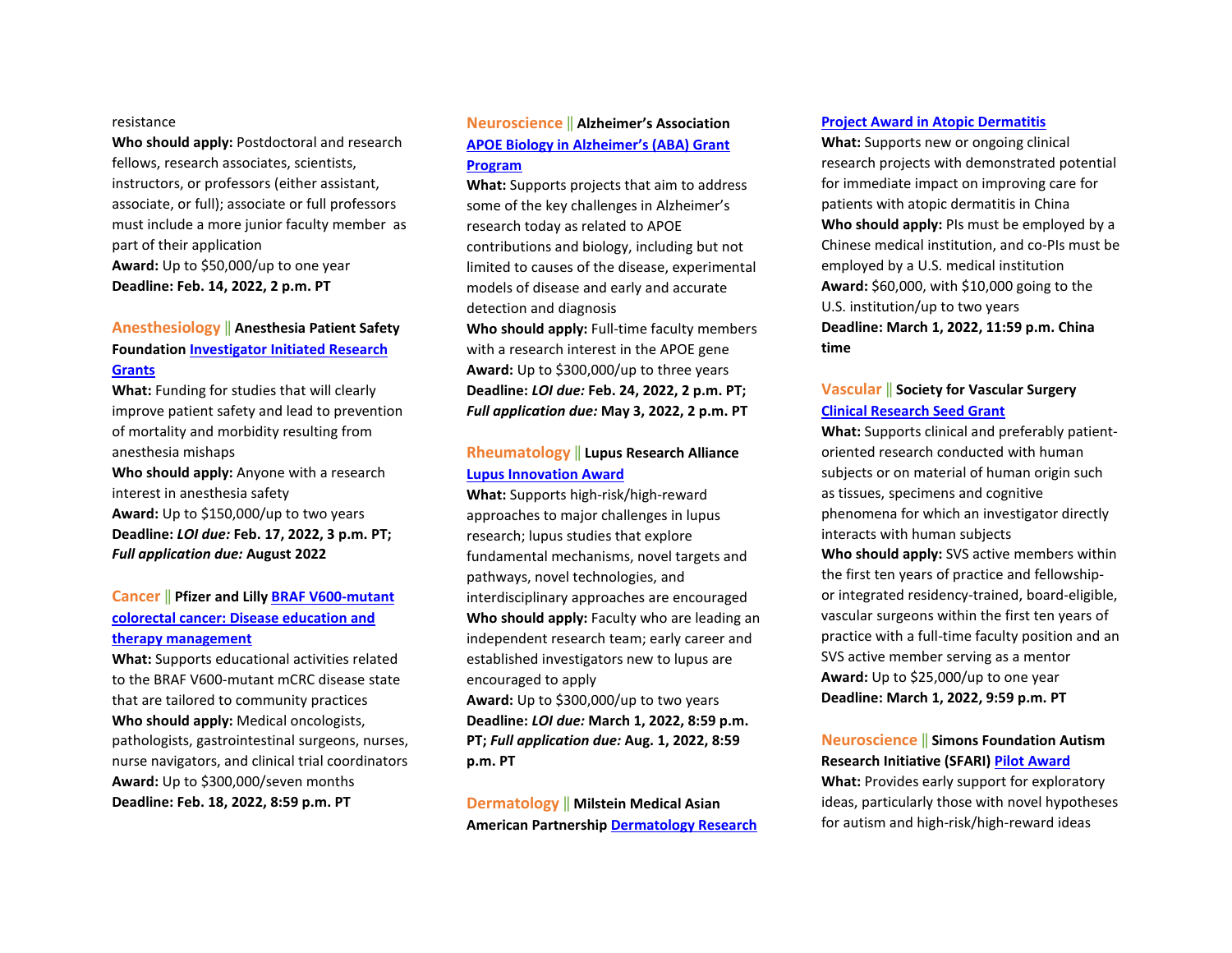#### resistance

**Who should apply:** Postdoctoral and research fellows, research associates, scientists, instructors, or professors (either assistant, associate, or full); associate or full professors must include a more junior faculty member as part of their application **Award:** Up to \$50,000/up to one year **Deadline: Feb. 14, 2022, 2 p.m. PT**

# **Anesthesiology** ‖ **Anesthesia Patient Safety Foundation [Investigator Initiated Research](https://www.apsf.org/grants-and-awards/investigator-initiated-research-iir-grants/)  [Grants](https://www.apsf.org/grants-and-awards/investigator-initiated-research-iir-grants/)**

**What:** Funding for studies that will clearly improve patient safety and lead to prevention of mortality and morbidity resulting from anesthesia mishaps

**Who should apply:** Anyone with a research interest in anesthesia safety **Award:** Up to \$150,000/up to two years **Deadline:** *LOI due:* **Feb. 17, 2022, 3 p.m. PT;**  *Full application due:* **August 2022**

### **Cancer** ‖ **Pfizer and Lill[y BRAF V600-mutant](https://cdn.pfizer.com/pfizercom/2022-01/GMG_2021-ONC-US_BRAF-mutantCRC_DiseaseEd.pdf?TocX6QwyLrNNu.qOnjGDp2ojpqCMKXTB)  [colorectal cancer: Disease education and](https://cdn.pfizer.com/pfizercom/2022-01/GMG_2021-ONC-US_BRAF-mutantCRC_DiseaseEd.pdf?TocX6QwyLrNNu.qOnjGDp2ojpqCMKXTB)  [therapy management](https://cdn.pfizer.com/pfizercom/2022-01/GMG_2021-ONC-US_BRAF-mutantCRC_DiseaseEd.pdf?TocX6QwyLrNNu.qOnjGDp2ojpqCMKXTB)**

**What:** Supports educational activities related to the BRAF V600-mutant mCRC disease state that are tailored to community practices **Who should apply:** Medical oncologists, pathologists, gastrointestinal surgeons, nurses, nurse navigators, and clinical trial coordinators **Award:** Up to \$300,000/seven months **Deadline: Feb. 18, 2022, 8:59 p.m. PT**

### **Neuroscience** ‖ **Alzheimer's Association [APOE Biology in Alzheimer's \(ABA\) Grant](https://www.alz.org/research/for_researchers/grants/types-of-grants/aba)  [Program](https://www.alz.org/research/for_researchers/grants/types-of-grants/aba)**

**What:** Supports projects that aim to address some of the key challenges in Alzheimer's research today as related to APOE contributions and biology, including but not limited to causes of the disease, experimental models of disease and early and accurate detection and diagnosis

**Who should apply:** Full-time faculty members with a research interest in the APOE gene **Award:** Up to \$300,000/up to three years **Deadline:** *LOI due:* **Feb. 24, 2022, 2 p.m. PT;**  *Full application due:* **May 3, 2022, 2 p.m. PT**

### **Rheumatology** ‖ **Lupus Research Alliance [Lupus Innovation Award](https://www.lupusresearch.org/wp-content/uploads/2021/12/2022-LIA_RFA_FInal.pdf)**

**What:** Supports high-risk/high-reward approaches to major challenges in lupus research; lupus studies that explore fundamental mechanisms, novel targets and pathways, novel technologies, and interdisciplinary approaches are encouraged **Who should apply:** Faculty who are leading an independent research team; early career and established investigators new to lupus are encouraged to apply

**Award:** Up to \$300,000/up to two years **Deadline:** *LOI due:* **March 1, 2022, 8:59 p.m. PT;** *Full application due:* **Aug. 1, 2022, 8:59 p.m. PT**

**Dermatology** ‖ **Milstein Medical Asian American Partnershi[p Dermatology Research](https://www.mmaapf.org/en/grants/)** 

#### **[Project Award in Atopic Dermatitis](https://www.mmaapf.org/en/grants/)**

**What:** Supports new or ongoing clinical research projects with demonstrated potential for immediate impact on improving care for patients with atopic dermatitis in China **Who should apply:** PIs must be employed by a Chinese medical institution, and co-PIs must be employed by a U.S. medical institution **Award:** \$60,000, with \$10,000 going to the U.S. institution/up to two years **Deadline: March 1, 2022, 11:59 p.m. China time**

# **Vascular** ‖ **Society for Vascular Surgery [Clinical Research Seed Grant](https://vascular.org/svsfoundation/programs-and-awards/clinical-research-seed-grant)**

**What:** Supports clinical and preferably patientoriented research conducted with human subjects or on material of human origin such as tissues, specimens and cognitive phenomena for which an investigator directly interacts with human subjects **Who should apply:** SVS active members within the first ten years of practice and fellowshipor integrated residency-trained, board-eligible, vascular surgeons within the first ten years of practice with a full-time faculty position and an SVS active member serving as a mentor **Award:** Up to \$25,000/up to one year **Deadline: March 1, 2022, 9:59 p.m. PT**

#### **Neuroscience** ‖ **Simons Foundation Autism Research Initiative (SFARI[\) Pilot Award](https://www.sfari.org/grant/pilot-awards-request-for-applications/?tab=rfa)**

**What:** Provides early support for exploratory ideas, particularly those with novel hypotheses for autism and high-risk/high-reward ideas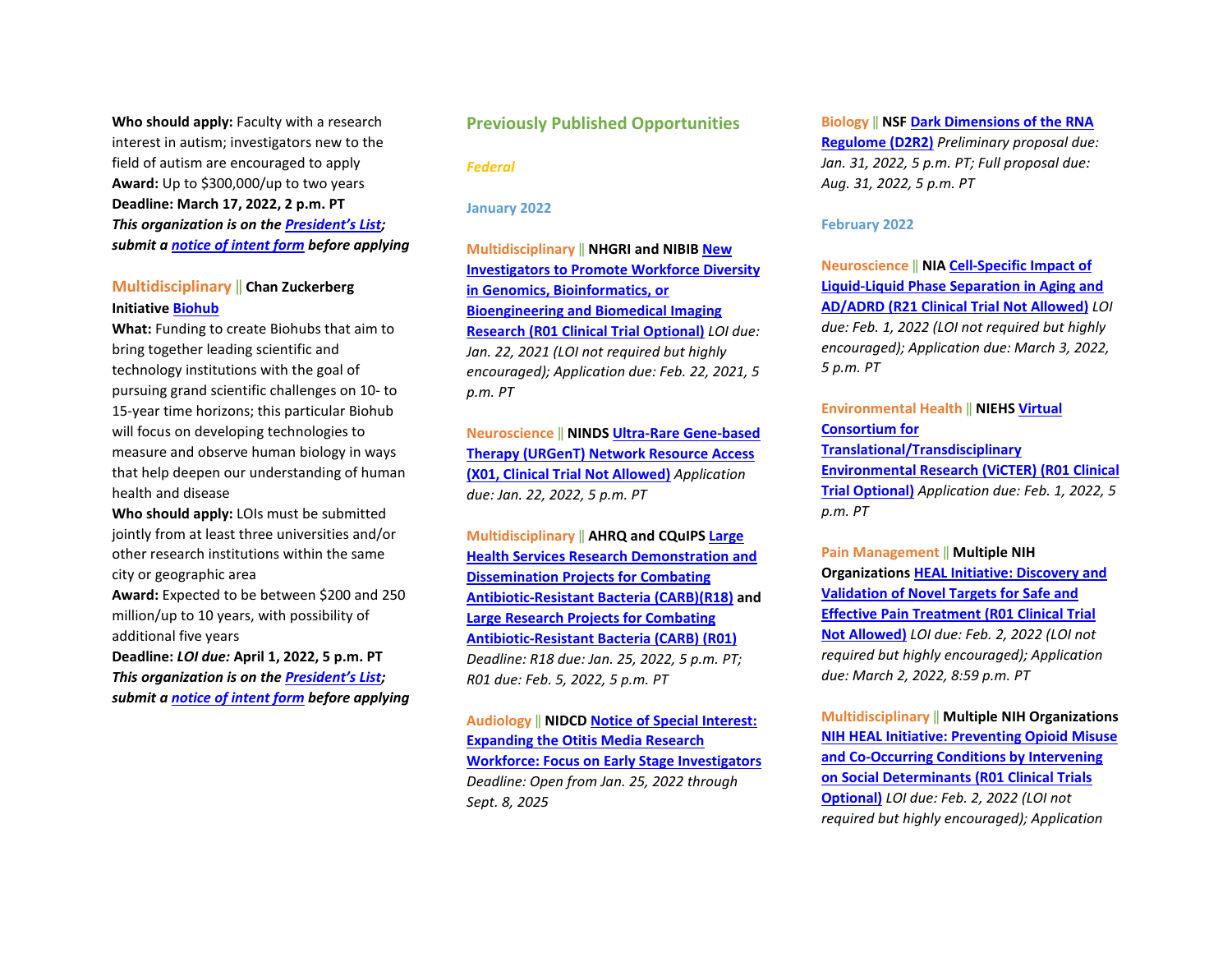**Who should apply:** Faculty with a research interest in autism; investigators new to the field of autism are encouraged to apply **Award:** Up to \$300,000/up to two years **Deadline: March 17, 2022, 2 p.m. PT**  *This organization is on th[e President's List;](https://o2.ohsu.edu/foundations/research-program-grants/ohsu-presidents-list/index.cfm)  submit a [notice of intent form](https://app.smartsheet.com/b/form?EQBCT=b4b914967b774308b1947bbf8ab27b15) before applying*

# **Multidisciplinary** ‖ **Chan Zuckerberg Initiative [Biohub](https://www.czbiohub.org/cz-biohub-network-applications/?utm_campaign=CZ%20Biohub&utm_medium=email&_hsmi=201219461&_hsenc=p2ANqtz--2bgVNMp8j9yCzPHRAjP1mZEJQfrZx0xK60LtfZHNlkyYW77dv1fjrZZbmPyPr-Uru8LAU36t2GFnr7XL3eD5IO0kQTA&utm_content=201219461&utm_source=hs_email)**

**What:** Funding to create Biohubs that aim to bring together leading scientific and technology institutions with the goal of pursuing grand scientific challenges on 10- to 15-year time horizons; this particular Biohub will focus on developing technologies to measure and observe human biology in ways that help deepen our understanding of human health and disease

**Who should apply:** LOIs must be submitted jointly from at least three universities and/or other research institutions within the same city or geographic area **Award:** Expected to be between \$200 and 250 million/up to 10 years, with possibility of additional five years

**Deadline:** *LOI due:* **April 1, 2022, 5 p.m. PT**  *This organization is on th[e President's List;](https://o2.ohsu.edu/foundations/research-program-grants/ohsu-presidents-list/index.cfm)  submit a [notice of intent form](https://app.smartsheet.com/b/form?EQBCT=b4b914967b774308b1947bbf8ab27b15) before applying*

### **Previously Published Opportunities**

*Federal*

**January 2022** 

**Multidisciplinary** ‖ **NHGRI and NIBI[B New](https://grants.nih.gov/grants/guide/rfa-files/RFA-HG-21-041.html)  [Investigators to Promote Workforce Diversity](https://grants.nih.gov/grants/guide/rfa-files/RFA-HG-21-041.html)  [in Genomics, Bioinformatics, or](https://grants.nih.gov/grants/guide/rfa-files/RFA-HG-21-041.html)  [Bioengineering and Biomedical Imaging](https://grants.nih.gov/grants/guide/rfa-files/RFA-HG-21-041.html)  [Research \(R01 Clinical Trial Optional\)](https://grants.nih.gov/grants/guide/rfa-files/RFA-HG-21-041.html)** *LOI due: Jan. 22, 2021 (LOI not required but highly encouraged); Application due: Feb. 22, 2021, 5 p.m. PT*

**Neuroscience** ‖ **NINDS [Ultra-Rare Gene-based](https://grants.nih.gov/grants/guide/pa-files/PAR-22-028.html)  [Therapy \(URGenT\) Network Resource Access](https://grants.nih.gov/grants/guide/pa-files/PAR-22-028.html)  [\(X01, Clinical Trial Not Allowed\)](https://grants.nih.gov/grants/guide/pa-files/PAR-22-028.html)** *Application due: Jan. 22, 2022, 5 p.m. PT* 

**Multidisciplinary** ‖ **AHRQ and CQuIPS [Large](https://grants.nih.gov/grants/guide/pa-files/PA-22-048.html)  [Health Services Research Demonstration and](https://grants.nih.gov/grants/guide/pa-files/PA-22-048.html)  [Dissemination Projects for Combating](https://grants.nih.gov/grants/guide/pa-files/PA-22-048.html)  [Antibiotic-Resistant Bacteria \(CARB\)\(R18\)](https://grants.nih.gov/grants/guide/pa-files/PA-22-048.html) and [Large Research Projects for Combating](https://grants.nih.gov/grants/guide/pa-files/PA-22-047.html)  [Antibiotic-Resistant Bacteria \(CARB\) \(R01\)](https://grants.nih.gov/grants/guide/pa-files/PA-22-047.html)** *Deadline: R18 due: Jan. 25, 2022, 5 p.m. PT; R01 due: Feb. 5, 2022, 5 p.m. PT*

**Audiology** ‖ **NIDCD [Notice of Special Interest:](https://grants.nih.gov/grants/guide/notice-files/NOT-DC-22-001.html)  [Expanding the Otitis Media Research](https://grants.nih.gov/grants/guide/notice-files/NOT-DC-22-001.html)  [Workforce: Focus on Early Stage Investigators](https://grants.nih.gov/grants/guide/notice-files/NOT-DC-22-001.html)** *Deadline: Open from Jan. 25, 2022 through Sept. 8, 2025*

**Biology** ‖ **NSF [Dark Dimensions of the RNA](https://www.nsf.gov/pubs/2022/nsf22510/nsf22510.htm?WT.mc_ev=click&WT.mc_id=USNSF_26&utm_medium=email&utm_source=govdelivery)  [Regulome \(D2R2\)](https://www.nsf.gov/pubs/2022/nsf22510/nsf22510.htm?WT.mc_ev=click&WT.mc_id=USNSF_26&utm_medium=email&utm_source=govdelivery)** *Preliminary proposal due: Jan. 31, 2022, 5 p.m. PT; Full proposal due: Aug. 31, 2022, 5 p.m. PT*

#### **February 2022**

**Neuroscience** ‖ **NI[A Cell-Specific Impact of](https://grants.nih.gov/grants/guide/rfa-files/RFA-AG-23-002.html)  [Liquid-Liquid Phase Separation in Aging and](https://grants.nih.gov/grants/guide/rfa-files/RFA-AG-23-002.html)  [AD/ADRD \(R21 Clinical Trial Not Allowed\)](https://grants.nih.gov/grants/guide/rfa-files/RFA-AG-23-002.html)** *LOI due: Feb. 1, 2022 (LOI not required but highly encouraged); Application due: March 3, 2022, 5 p.m. PT*

#### **Environmental Health** ‖ **NIEHS [Virtual](https://grants.nih.gov/grants/guide/rfa-files/RFA-ES-21-007.html)  [Consortium for](https://grants.nih.gov/grants/guide/rfa-files/RFA-ES-21-007.html)**

**[Translational/Transdisciplinary](https://grants.nih.gov/grants/guide/rfa-files/RFA-ES-21-007.html)  [Environmental Research \(ViCTER\) \(R01 Clinical](https://grants.nih.gov/grants/guide/rfa-files/RFA-ES-21-007.html)  [Trial Optional\)](https://grants.nih.gov/grants/guide/rfa-files/RFA-ES-21-007.html)** *Application due: Feb. 1, 2022, 5 p.m. PT*

**Pain Management** ‖ **Multiple NIH Organization[s HEAL Initiative: Discovery and](https://grants.nih.gov/grants/guide/rfa-files/RFA-NS-22-034.html)  [Validation of Novel Targets for Safe and](https://grants.nih.gov/grants/guide/rfa-files/RFA-NS-22-034.html)  [Effective Pain Treatment \(R01 Clinical Trial](https://grants.nih.gov/grants/guide/rfa-files/RFA-NS-22-034.html)  [Not Allowed\)](https://grants.nih.gov/grants/guide/rfa-files/RFA-NS-22-034.html)** *LOI due: Feb. 2, 2022 (LOI not required but highly encouraged); Application due: March 2, 2022, 8:59 p.m. PT*

**Multidisciplinary** ‖ **Multiple NIH Organizations [NIH HEAL Initiative: Preventing Opioid Misuse](https://grants.nih.gov/grants/guide/rfa-files/RFA-DA-22-036.html)  [and Co-Occurring Conditions by Intervening](https://grants.nih.gov/grants/guide/rfa-files/RFA-DA-22-036.html)  [on Social Determinants \(R01 Clinical Trials](https://grants.nih.gov/grants/guide/rfa-files/RFA-DA-22-036.html)  [Optional\)](https://grants.nih.gov/grants/guide/rfa-files/RFA-DA-22-036.html)** *LOI due: Feb. 2, 2022 (LOI not required but highly encouraged); Application*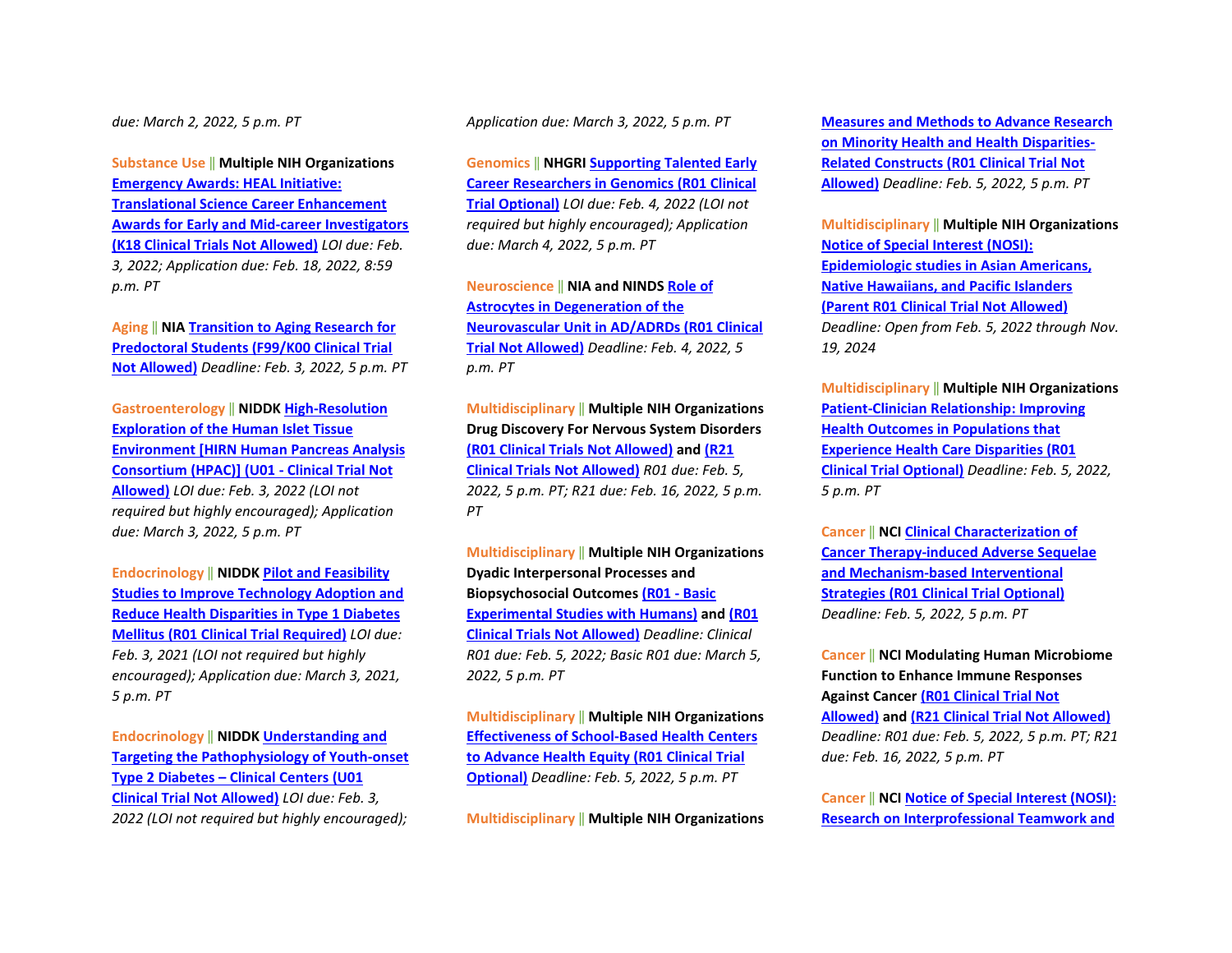#### *due: March 2, 2022, 5 p.m. PT*

**Substance Use** ‖ **Multiple NIH Organizations [Emergency Awards: HEAL Initiative:](https://grants.nih.gov/grants/guide/pa-files/PAR-22-057.html)  [Translational Science Career Enhancement](https://grants.nih.gov/grants/guide/pa-files/PAR-22-057.html)  [Awards for Early and Mid-career Investigators](https://grants.nih.gov/grants/guide/pa-files/PAR-22-057.html)  [\(K18 Clinical Trials Not Allowed\)](https://grants.nih.gov/grants/guide/pa-files/PAR-22-057.html)** *LOI due: Feb. 3, 2022; Application due: Feb. 18, 2022, 8:59 p.m. PT*

**Aging** ‖ **NI[A Transition to Aging Research for](https://grants.nih.gov/grants/guide/rfa-files/RFA-AG-22-026.html)  [Predoctoral Students \(F99/K00 Clinical Trial](https://grants.nih.gov/grants/guide/rfa-files/RFA-AG-22-026.html)  [Not Allowed\)](https://grants.nih.gov/grants/guide/rfa-files/RFA-AG-22-026.html)** *Deadline: Feb. 3, 2022, 5 p.m. PT*

**Gastroenterology** ‖ **NIDDK [High-Resolution](https://grants.nih.gov/grants/guide/rfa-files/RFA-DK-21-017.html)  [Exploration of the Human Islet Tissue](https://grants.nih.gov/grants/guide/rfa-files/RFA-DK-21-017.html)  [Environment \[HIRN Human Pancreas Analysis](https://grants.nih.gov/grants/guide/rfa-files/RFA-DK-21-017.html)  [Consortium \(HPAC\)\] \(U01 -](https://grants.nih.gov/grants/guide/rfa-files/RFA-DK-21-017.html) Clinical Trial Not [Allowed\)](https://grants.nih.gov/grants/guide/rfa-files/RFA-DK-21-017.html)** *LOI due: Feb. 3, 2022 (LOI not required but highly encouraged); Application due: March 3, 2022, 5 p.m. PT*

**Endocrinology** ‖ **NIDDK [Pilot and Feasibility](https://grants.nih.gov/grants/guide/rfa-files/RFA-DK-21-018.html)  [Studies to Improve Technology Adoption and](https://grants.nih.gov/grants/guide/rfa-files/RFA-DK-21-018.html)  [Reduce Health Disparities in Type 1 Diabetes](https://grants.nih.gov/grants/guide/rfa-files/RFA-DK-21-018.html)  [Mellitus \(R01 Clinical Trial Required\)](https://grants.nih.gov/grants/guide/rfa-files/RFA-DK-21-018.html)** *LOI due: Feb. 3, 2021 (LOI not required but highly encouraged); Application due: March 3, 2021, 5 p.m. PT*

**Endocrinology** ‖ **NIDDK [Understanding and](https://grants.nih.gov/grants/guide/rfa-files/RFA-DK-21-002.html)  [Targeting the Pathophysiology of Youth-onset](https://grants.nih.gov/grants/guide/rfa-files/RFA-DK-21-002.html)  Type 2 Diabetes – [Clinical Centers \(U01](https://grants.nih.gov/grants/guide/rfa-files/RFA-DK-21-002.html)  [Clinical Trial Not Allowed\)](https://grants.nih.gov/grants/guide/rfa-files/RFA-DK-21-002.html)** *LOI due: Feb. 3, 2022 (LOI not required but highly encouraged);*  *Application due: March 3, 2022, 5 p.m. PT*

**Genomics** ‖ **NHGRI [Supporting Talented Early](https://grants.nih.gov/grants/guide/rfa-files/RFA-HG-22-001.html)  [Career Researchers in Genomics \(R01 Clinical](https://grants.nih.gov/grants/guide/rfa-files/RFA-HG-22-001.html)  [Trial Optional\)](https://grants.nih.gov/grants/guide/rfa-files/RFA-HG-22-001.html)** *LOI due: Feb. 4, 2022 (LOI not required but highly encouraged); Application due: March 4, 2022, 5 p.m. PT*

**Neuroscience** ‖ **NIA and NIND[S Role of](https://grants.nih.gov/grants/guide/pa-files/PAR-22-037.html)  [Astrocytes in Degeneration of the](https://grants.nih.gov/grants/guide/pa-files/PAR-22-037.html)  [Neurovascular Unit in AD/ADRDs \(R01 Clinical](https://grants.nih.gov/grants/guide/pa-files/PAR-22-037.html)  [Trial Not Allowed\)](https://grants.nih.gov/grants/guide/pa-files/PAR-22-037.html)** *Deadline: Feb. 4, 2022, 5 p.m. PT*

**Multidisciplinary** ‖ **Multiple NIH Organizations Drug Discovery For Nervous System Disorders [\(R01 Clinical Trials Not Allowed\)](https://grants.nih.gov/grants/guide/pa-files/PAR-22-031.html) and [\(R21](https://grants.nih.gov/grants/guide/pa-files/PAR-22-032.html)  [Clinical Trials Not Allowed\)](https://grants.nih.gov/grants/guide/pa-files/PAR-22-032.html)** *R01 due: Feb. 5, 2022, 5 p.m. PT; R21 due: Feb. 16, 2022, 5 p.m. PT*

**Multidisciplinary** ‖ **Multiple NIH Organizations Dyadic Interpersonal Processes and Biopsychosocial Outcome[s \(R01 -](https://grants.nih.gov/grants/guide/pa-files/PAR-21-280.html) Basic [Experimental Studies with Humans\)](https://grants.nih.gov/grants/guide/pa-files/PAR-21-280.html) an[d \(R01](https://grants.nih.gov/grants/guide/pa-files/PAR-21-281.html)  [Clinical Trials Not Allowed\)](https://grants.nih.gov/grants/guide/pa-files/PAR-21-281.html)** *Deadline: Clinical R01 due: Feb. 5, 2022; Basic R01 due: March 5, 2022, 5 p.m. PT*

**Multidisciplinary** ‖ **Multiple NIH Organizations [Effectiveness of School-Based Health Centers](https://grants.nih.gov/grants/guide/pa-files/PAR-21-287.html)  [to Advance Health Equity \(R01 Clinical Trial](https://grants.nih.gov/grants/guide/pa-files/PAR-21-287.html)  [Optional\)](https://grants.nih.gov/grants/guide/pa-files/PAR-21-287.html)** *Deadline: Feb. 5, 2022, 5 p.m. PT*

**Multidisciplinary** ‖ **Multiple NIH Organizations** 

**[Measures and Methods to Advance Research](https://grants.nih.gov/grants/guide/pa-files/PAR-22-072.html)  [on Minority Health and Health Disparities-](https://grants.nih.gov/grants/guide/pa-files/PAR-22-072.html)[Related Constructs \(R01 Clinical Trial Not](https://grants.nih.gov/grants/guide/pa-files/PAR-22-072.html)  [Allowed\)](https://grants.nih.gov/grants/guide/pa-files/PAR-22-072.html)** *Deadline: Feb. 5, 2022, 5 p.m. PT*

**Multidisciplinary** ‖ **Multiple NIH Organizations [Notice of Special Interest \(NOSI\):](https://grants.nih.gov/grants/guide/notice-files/NOT-HL-23-001.html)  [Epidemiologic studies in Asian Americans,](https://grants.nih.gov/grants/guide/notice-files/NOT-HL-23-001.html)  [Native Hawaiians, and Pacific Islanders](https://grants.nih.gov/grants/guide/notice-files/NOT-HL-23-001.html)  [\(Parent R01 Clinical Trial Not Allowed\)](https://grants.nih.gov/grants/guide/notice-files/NOT-HL-23-001.html)** *Deadline: Open from Feb. 5, 2022 through Nov. 19, 2024*

**Multidisciplinary** ‖ **Multiple NIH Organizations [Patient-Clinician Relationship: Improving](https://grants.nih.gov/grants/guide/pa-files/PAR-22-064.html)  [Health Outcomes in Populations that](https://grants.nih.gov/grants/guide/pa-files/PAR-22-064.html)  [Experience Health Care Disparities \(R01](https://grants.nih.gov/grants/guide/pa-files/PAR-22-064.html)  [Clinical Trial Optional\)](https://grants.nih.gov/grants/guide/pa-files/PAR-22-064.html)** *Deadline: Feb. 5, 2022, 5 p.m. PT*

**Cancer** ‖ **NC[I Clinical Characterization of](https://grants.nih.gov/grants/guide/pa-files/PAR-21-329.html)  [Cancer Therapy-induced Adverse Sequelae](https://grants.nih.gov/grants/guide/pa-files/PAR-21-329.html)  [and Mechanism-based Interventional](https://grants.nih.gov/grants/guide/pa-files/PAR-21-329.html)  [Strategies \(R01 Clinical Trial Optional\)](https://grants.nih.gov/grants/guide/pa-files/PAR-21-329.html)** *Deadline: Feb. 5, 2022, 5 p.m. PT* 

**Cancer** ‖ **NCI Modulating Human Microbiome Function to Enhance Immune Responses Against Cancer [\(R01 Clinical Trial Not](https://grants.nih.gov/grants/guide/pa-files/PAR-22-061.html)  [Allowed\)](https://grants.nih.gov/grants/guide/pa-files/PAR-22-061.html) an[d \(R21 Clinical Trial Not Allowed\)](https://grants.nih.gov/grants/guide/pa-files/PAR-22-062.html)** *Deadline: R01 due: Feb. 5, 2022, 5 p.m. PT; R21 due: Feb. 16, 2022, 5 p.m. PT* 

**Cancer** ‖ **NC[I Notice of Special Interest \(NOSI\):](https://grants.nih.gov/grants/guide/notice-files/NOT-CA-22-014.html)  [Research on Interprofessional Teamwork and](https://grants.nih.gov/grants/guide/notice-files/NOT-CA-22-014.html)**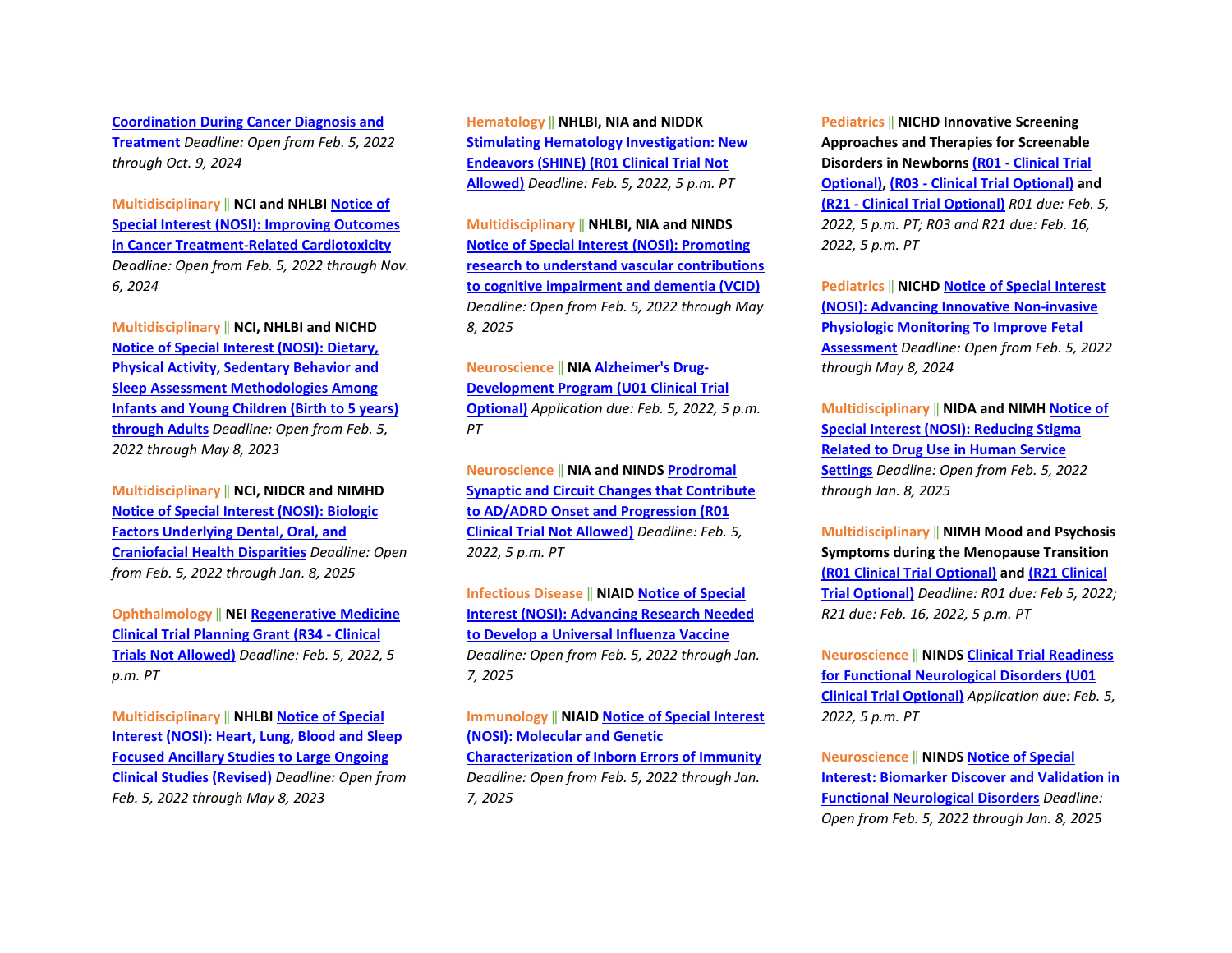**[Coordination During Cancer Diagnosis and](https://grants.nih.gov/grants/guide/notice-files/NOT-CA-22-014.html)  [Treatment](https://grants.nih.gov/grants/guide/notice-files/NOT-CA-22-014.html)** *Deadline: Open from Feb. 5, 2022 through Oct. 9, 2024*

**Multidisciplinary** ‖ **NCI and NHLB[I Notice of](https://grants.nih.gov/grants/guide/notice-files/NOT-CA-22-001.html)  [Special Interest \(NOSI\): Improving Outcomes](https://grants.nih.gov/grants/guide/notice-files/NOT-CA-22-001.html)  [in Cancer Treatment-Related Cardiotoxicity](https://grants.nih.gov/grants/guide/notice-files/NOT-CA-22-001.html)** *Deadline: Open from Feb. 5, 2022 through Nov. 6, 2024*

**Multidisciplinary** ‖ **NCI, NHLBI and NICHD [Notice of Special Interest \(NOSI\): Dietary,](https://grants.nih.gov/grants/guide/notice-files/NOT-CA-21-108.html)  [Physical Activity, Sedentary Behavior and](https://grants.nih.gov/grants/guide/notice-files/NOT-CA-21-108.html)  [Sleep Assessment Methodologies Among](https://grants.nih.gov/grants/guide/notice-files/NOT-CA-21-108.html)  [Infants and Young Children \(Birth to 5 years\)](https://grants.nih.gov/grants/guide/notice-files/NOT-CA-21-108.html)  [through Adults](https://grants.nih.gov/grants/guide/notice-files/NOT-CA-21-108.html)** *Deadline: Open from Feb. 5, 2022 through May 8, 2023*

**Multidisciplinary** ‖ **NCI, NIDCR and NIMHD [Notice of Special Interest \(NOSI\): Biologic](https://grants.nih.gov/grants/guide/notice-files/NOT-DE-21-013.html)  [Factors Underlying Dental, Oral, and](https://grants.nih.gov/grants/guide/notice-files/NOT-DE-21-013.html)  [Craniofacial Health Disparities](https://grants.nih.gov/grants/guide/notice-files/NOT-DE-21-013.html)** *Deadline: Open from Feb. 5, 2022 through Jan. 8, 2025*

**Ophthalmology** ‖ **NE[I Regenerative Medicine](https://grants.nih.gov/grants/guide/pa-files/PAR-22-070.html)  [Clinical Trial Planning Grant \(R34 -](https://grants.nih.gov/grants/guide/pa-files/PAR-22-070.html) Clinical [Trials Not Allowed\)](https://grants.nih.gov/grants/guide/pa-files/PAR-22-070.html)** *Deadline: Feb. 5, 2022, 5 p.m. PT*

**Multidisciplinary** ‖ **NHLBI [Notice of Special](https://grants.nih.gov/grants/guide/notice-files/NOT-HL-21-030.html)  [Interest \(NOSI\): Heart, Lung, Blood and Sleep](https://grants.nih.gov/grants/guide/notice-files/NOT-HL-21-030.html)  [Focused Ancillary Studies to Large Ongoing](https://grants.nih.gov/grants/guide/notice-files/NOT-HL-21-030.html)  [Clinical Studies \(Revised\)](https://grants.nih.gov/grants/guide/notice-files/NOT-HL-21-030.html)** *Deadline: Open from Feb. 5, 2022 through May 8, 2023*

**Hematology** ‖ **NHLBI, NIA and NIDDK [Stimulating Hematology Investigation: New](https://grants.nih.gov/grants/guide/pa-files/PAS-22-096.html)  [Endeavors \(SHINE\) \(R01 Clinical Trial Not](https://grants.nih.gov/grants/guide/pa-files/PAS-22-096.html)  [Allowed\)](https://grants.nih.gov/grants/guide/pa-files/PAS-22-096.html)** *Deadline: Feb. 5, 2022, 5 p.m. PT*

**Multidisciplinary** ‖ **NHLBI, NIA and NINDS [Notice of Special Interest \(NOSI\): Promoting](https://grants.nih.gov/grants/guide/notice-files/NOT-HL-23-002.html)  [research to understand vascular contributions](https://grants.nih.gov/grants/guide/notice-files/NOT-HL-23-002.html)  [to cognitive impairment and dementia \(VCID\)](https://grants.nih.gov/grants/guide/notice-files/NOT-HL-23-002.html)** *Deadline: Open from Feb. 5, 2022 through May 8, 2025*

#### **Neuroscience** ‖ **NI[A Alzheimer's Drug-](https://grants.nih.gov/grants/guide/pa-files/PAR-22-047.html)[Development Program \(U01 Clinical Trial](https://grants.nih.gov/grants/guide/pa-files/PAR-22-047.html)**

**[Optional\)](https://grants.nih.gov/grants/guide/pa-files/PAR-22-047.html)** *Application due: Feb. 5, 2022, 5 p.m. PT* 

**Neuroscience** ‖ **NIA and NIND[S Prodromal](https://grants.nih.gov/grants/guide/pa-files/PAR-22-059.html)  [Synaptic and Circuit Changes that Contribute](https://grants.nih.gov/grants/guide/pa-files/PAR-22-059.html)  [to AD/ADRD Onset and Progression \(R01](https://grants.nih.gov/grants/guide/pa-files/PAR-22-059.html)  [Clinical Trial Not Allowed\)](https://grants.nih.gov/grants/guide/pa-files/PAR-22-059.html)** *Deadline: Feb. 5, 2022, 5 p.m. PT*

**Infectious Disease** ‖ **NIAID [Notice of Special](https://grants.nih.gov/grants/guide/notice-files/NOT-AI-22-013.html)  [Interest \(NOSI\): Advancing Research Needed](https://grants.nih.gov/grants/guide/notice-files/NOT-AI-22-013.html)  [to Develop a Universal Influenza Vaccine](https://grants.nih.gov/grants/guide/notice-files/NOT-AI-22-013.html)** *Deadline: Open from Feb. 5, 2022 through Jan. 7, 2025*

**Immunology** ‖ **NIAI[D Notice of Special Interest](https://grants.nih.gov/grants/guide/notice-files/NOT-AI-21-082.html)  [\(NOSI\): Molecular and Genetic](https://grants.nih.gov/grants/guide/notice-files/NOT-AI-21-082.html)  [Characterization of Inborn Errors of Immunity](https://grants.nih.gov/grants/guide/notice-files/NOT-AI-21-082.html)** *Deadline: Open from Feb. 5, 2022 through Jan. 7, 2025*

**Pediatrics** ‖ **NICHD Innovative Screening Approaches and Therapies for Screenable Disorders in Newborns (R01 - [Clinical Trial](https://grants.nih.gov/grants/guide/pa-files/PAR-21-353.html)  [Optional\),](https://grants.nih.gov/grants/guide/pa-files/PAR-21-353.html) (R03 - [Clinical Trial Optional\)](https://grants.nih.gov/grants/guide/pa-files/PAR-21-354.html) and (R21 - [Clinical Trial Optional\)](https://grants.nih.gov/grants/guide/pa-files/PAR-21-355.html)** *R01 due: Feb. 5, 2022, 5 p.m. PT; R03 and R21 due: Feb. 16, 2022, 5 p.m. PT*

**Pediatrics** ‖ **NICH[D Notice of Special Interest](https://grants.nih.gov/grants/guide/notice-files/NOT-HD-21-053.html)  [\(NOSI\): Advancing Innovative Non-invasive](https://grants.nih.gov/grants/guide/notice-files/NOT-HD-21-053.html)  [Physiologic Monitoring To Improve Fetal](https://grants.nih.gov/grants/guide/notice-files/NOT-HD-21-053.html)  [Assessment](https://grants.nih.gov/grants/guide/notice-files/NOT-HD-21-053.html)** *Deadline: Open from Feb. 5, 2022 through May 8, 2024*

**Multidisciplinary** ‖ **NIDA and NIM[H Notice of](https://grants.nih.gov/grants/guide/notice-files/NOT-DA-21-060.html)  [Special Interest \(NOSI\): Reducing Stigma](https://grants.nih.gov/grants/guide/notice-files/NOT-DA-21-060.html)  [Related to Drug Use in Human Service](https://grants.nih.gov/grants/guide/notice-files/NOT-DA-21-060.html)  [Settings](https://grants.nih.gov/grants/guide/notice-files/NOT-DA-21-060.html)** *Deadline: Open from Feb. 5, 2022 through Jan. 8, 2025*

**Multidisciplinary** ‖ **NIMH Mood and Psychosis Symptoms during the Menopause Transition [\(R01 Clinical Trial Optional\)](https://grants.nih.gov/grants/guide/pa-files/PAR-22-035.html) and [\(R21 Clinical](https://grants.nih.gov/grants/guide/pa-files/PAR-22-036.html)  [Trial Optional\)](https://grants.nih.gov/grants/guide/pa-files/PAR-22-036.html)** *Deadline: R01 due: Feb 5, 2022; R21 due: Feb. 16, 2022, 5 p.m. PT*

**Neuroscience** ‖ **NINDS [Clinical Trial Readiness](https://grants.nih.gov/grants/guide/pa-files/PAR-22-053.html)  [for Functional Neurological Disorders \(U01](https://grants.nih.gov/grants/guide/pa-files/PAR-22-053.html)  [Clinical Trial Optional\)](https://grants.nih.gov/grants/guide/pa-files/PAR-22-053.html)** *Application due: Feb. 5, 2022, 5 p.m. PT*

**Neuroscience** ‖ **NINDS [Notice of Special](https://grants.nih.gov/grants/guide/notice-files/NOT-NS-22-010.html)  [Interest: Biomarker Discover and Validation in](https://grants.nih.gov/grants/guide/notice-files/NOT-NS-22-010.html)  [Functional Neurological Disorders](https://grants.nih.gov/grants/guide/notice-files/NOT-NS-22-010.html)** *Deadline: Open from Feb. 5, 2022 through Jan. 8, 2025*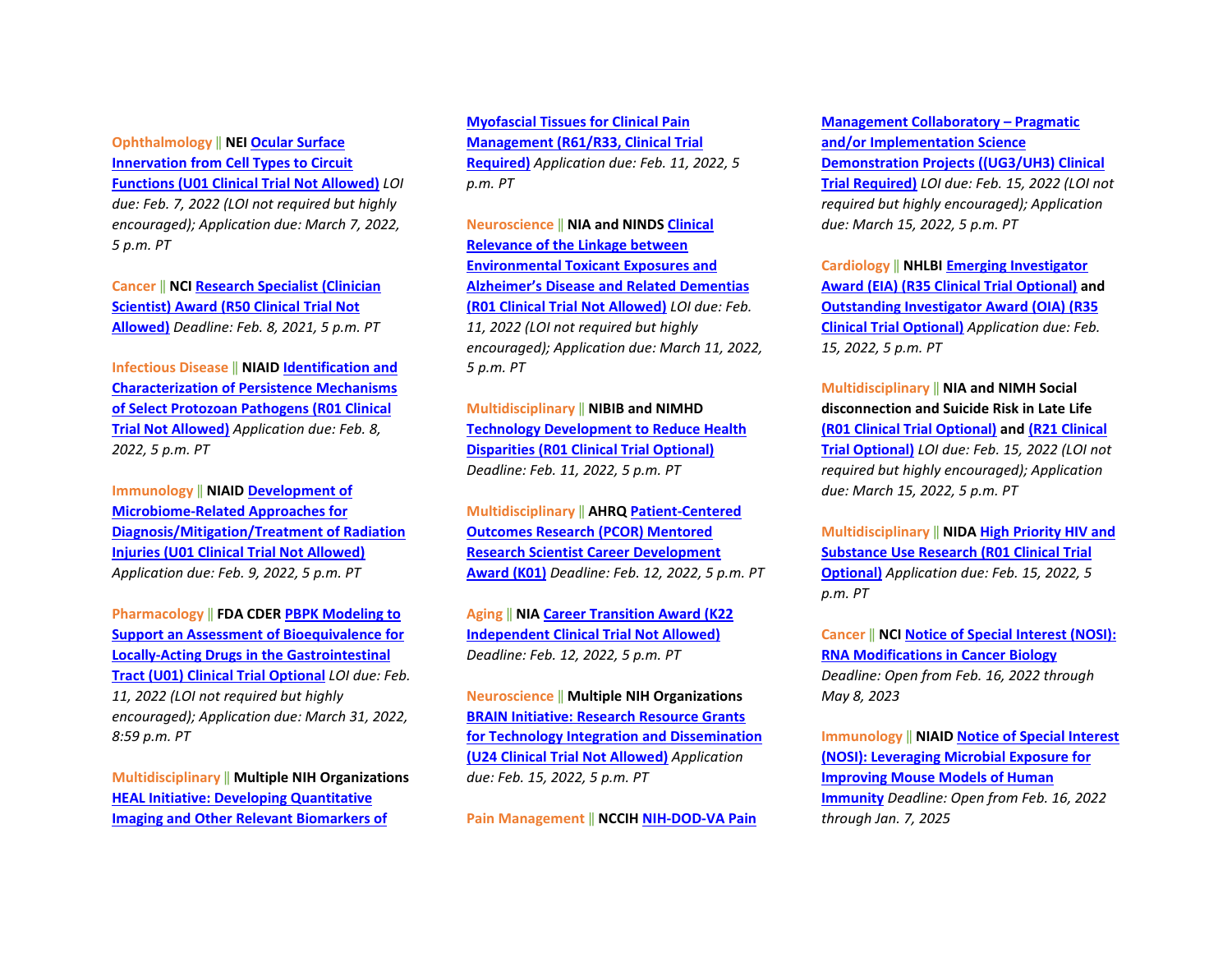**Ophthalmology** ‖ **NE[I Ocular Surface](https://grants.nih.gov/grants/guide/rfa-files/RFA-EY-21-004.html)  [Innervation from Cell Types to Circuit](https://grants.nih.gov/grants/guide/rfa-files/RFA-EY-21-004.html)  [Functions \(U01 Clinical Trial Not Allowed\)](https://grants.nih.gov/grants/guide/rfa-files/RFA-EY-21-004.html)** *LOI due: Feb. 7, 2022 (LOI not required but highly encouraged); Application due: March 7, 2022, 5 p.m. PT*

**Cancer** ‖ **NC[I Research Specialist \(Clinician](https://grants.nih.gov/grants/guide/pa-files/PAR-21-306.html)  [Scientist\) Award \(R50 Clinical Trial Not](https://grants.nih.gov/grants/guide/pa-files/PAR-21-306.html)  [Allowed\)](https://grants.nih.gov/grants/guide/pa-files/PAR-21-306.html)** *Deadline: Feb. 8, 2021, 5 p.m. PT*

**Infectious Disease** ‖ **NIAID [Identification and](https://grants.nih.gov/grants/guide/rfa-files/RFA-AI-21-075.html)  [Characterization of Persistence Mechanisms](https://grants.nih.gov/grants/guide/rfa-files/RFA-AI-21-075.html)  [of Select Protozoan Pathogens \(R01 Clinical](https://grants.nih.gov/grants/guide/rfa-files/RFA-AI-21-075.html)  [Trial Not Allowed\)](https://grants.nih.gov/grants/guide/rfa-files/RFA-AI-21-075.html)** *Application due: Feb. 8, 2022, 5 p.m. PT*

**Immunology** ‖ **NIAI[D Development of](https://grants.nih.gov/grants/guide/rfa-files/RFA-AI-21-068.html) [Microbiome-Related Approaches for](https://grants.nih.gov/grants/guide/rfa-files/RFA-AI-21-068.html)  [Diagnosis/Mitigation/Treatment of Radiation](https://grants.nih.gov/grants/guide/rfa-files/RFA-AI-21-068.html)  [Injuries \(U01 Clinical Trial Not Allowed\)](https://grants.nih.gov/grants/guide/rfa-files/RFA-AI-21-068.html)** *Application due: Feb. 9, 2022, 5 p.m. PT*

**Pharmacology** ‖ **FDA CDER [PBPK Modeling to](https://grants.nih.gov/grants/guide/rfa-files/RFA-FD-22-012.html)  [Support an Assessment of Bioequivalence for](https://grants.nih.gov/grants/guide/rfa-files/RFA-FD-22-012.html)  [Locally-Acting Drugs in the Gastrointestinal](https://grants.nih.gov/grants/guide/rfa-files/RFA-FD-22-012.html)  [Tract \(U01\) Clinical Trial Optional](https://grants.nih.gov/grants/guide/rfa-files/RFA-FD-22-012.html)** *LOI due: Feb. 11, 2022 (LOI not required but highly encouraged); Application due: March 31, 2022, 8:59 p.m. PT*

**Multidisciplinary** ‖ **Multiple NIH Organizations [HEAL Initiative: Developing Quantitative](https://grants.nih.gov/grants/guide/rfa-files/RFA-AT-22-003.html)  [Imaging and Other Relevant Biomarkers of](https://grants.nih.gov/grants/guide/rfa-files/RFA-AT-22-003.html)** 

**[Myofascial Tissues for Clinical Pain](https://grants.nih.gov/grants/guide/rfa-files/RFA-AT-22-003.html)  [Management \(R61/R33, Clinical Trial](https://grants.nih.gov/grants/guide/rfa-files/RFA-AT-22-003.html)  [Required\)](https://grants.nih.gov/grants/guide/rfa-files/RFA-AT-22-003.html)** *Application due: Feb. 11, 2022, 5 p.m. PT* 

**Neuroscience** ‖ **NIA and NIND[S Clinical](https://grants.nih.gov/grants/guide/pa-files/PAR-22-048.html)  [Relevance of the Linkage between](https://grants.nih.gov/grants/guide/pa-files/PAR-22-048.html)  [Environmental Toxicant Exposures and](https://grants.nih.gov/grants/guide/pa-files/PAR-22-048.html)  [Alzheimer's Disease and Related Dementias](https://grants.nih.gov/grants/guide/pa-files/PAR-22-048.html)  [\(R01 Clinical Trial Not Allowed\)](https://grants.nih.gov/grants/guide/pa-files/PAR-22-048.html)** *LOI due: Feb. 11, 2022 (LOI not required but highly encouraged); Application due: March 11, 2022, 5 p.m. PT*

**Multidisciplinary** ‖ **NIBIB and NIMHD [Technology Development to Reduce Health](https://grants.nih.gov/grants/guide/rfa-files/RFA-EB-21-001.html)  [Disparities \(R01 Clinical Trial Optional\)](https://grants.nih.gov/grants/guide/rfa-files/RFA-EB-21-001.html)** *Deadline: Feb. 11, 2022, 5 p.m. PT* 

**Multidisciplinary** ‖ **AHR[Q Patient-Centered](https://grants.nih.gov/grants/guide/pa-files/PA-22-049.html)  [Outcomes Research \(PCOR\) Mentored](https://grants.nih.gov/grants/guide/pa-files/PA-22-049.html)  [Research Scientist Career Development](https://grants.nih.gov/grants/guide/pa-files/PA-22-049.html)  [Award \(K01\)](https://grants.nih.gov/grants/guide/pa-files/PA-22-049.html)** *Deadline: Feb. 12, 2022, 5 p.m. PT*

**Aging** ‖ **NI[A Career Transition Award \(K22](https://grants.nih.gov/grants/guide/pa-files/PAR-21-351.html)  [Independent Clinical Trial Not Allowed\)](https://grants.nih.gov/grants/guide/pa-files/PAR-21-351.html)** *Deadline: Feb. 12, 2022, 5 p.m. PT*

**Neuroscience** ‖ **Multiple NIH Organizations [BRAIN Initiative: Research Resource Grants](https://grants.nih.gov/grants/guide/rfa-files/RFA-NS-22-011.html)  [for Technology Integration and Dissemination](https://grants.nih.gov/grants/guide/rfa-files/RFA-NS-22-011.html)  [\(U24 Clinical Trial Not Allowed\)](https://grants.nih.gov/grants/guide/rfa-files/RFA-NS-22-011.html)** *Application due: Feb. 15, 2022, 5 p.m. PT*

**Pain Management** ‖ **NCCIH [NIH-DOD-VA Pain](https://grants.nih.gov/grants/guide/rfa-files/RFA-AT-22-006.html)** 

**[Management Collaboratory –](https://grants.nih.gov/grants/guide/rfa-files/RFA-AT-22-006.html) Pragmatic [and/or Implementation Science](https://grants.nih.gov/grants/guide/rfa-files/RFA-AT-22-006.html)  [Demonstration Projects \(\(UG3/UH3\) Clinical](https://grants.nih.gov/grants/guide/rfa-files/RFA-AT-22-006.html)  [Trial Required\)](https://grants.nih.gov/grants/guide/rfa-files/RFA-AT-22-006.html)** *LOI due: Feb. 15, 2022 (LOI not required but highly encouraged); Application due: March 15, 2022, 5 p.m. PT*

**Cardiology** ‖ **NHLB[I Emerging Investigator](https://grants.nih.gov/grants/guide/rfa-files/RFA-HL-23-005.html)  [Award \(EIA\) \(R35 Clinical Trial Optional\)](https://grants.nih.gov/grants/guide/rfa-files/RFA-HL-23-005.html) and [Outstanding Investigator Award \(OIA\) \(R35](https://grants.nih.gov/grants/guide/rfa-files/RFA-HL-23-004.html)  [Clinical Trial Optional\)](https://grants.nih.gov/grants/guide/rfa-files/RFA-HL-23-004.html)** *Application due: Feb. 15, 2022, 5 p.m. PT*

**Multidisciplinary** ‖ **NIA and NIMH Social disconnection and Suicide Risk in Late Life [\(R01 Clinical Trial Optional\)](https://grants.nih.gov/grants/guide/rfa-files/RFA-MH-22-135.html) and [\(R21 Clinical](https://grants.nih.gov/grants/guide/rfa-files/RFA-MH-22-136.html)  [Trial Optional\)](https://grants.nih.gov/grants/guide/rfa-files/RFA-MH-22-136.html)** *LOI due: Feb. 15, 2022 (LOI not required but highly encouraged); Application due: March 15, 2022, 5 p.m. PT*

**Multidisciplinary** ‖ **NIDA [High Priority HIV and](https://grants.nih.gov/grants/guide/rfa-files/RFA-DA-22-040.html)  [Substance Use Research \(R01 Clinical Trial](https://grants.nih.gov/grants/guide/rfa-files/RFA-DA-22-040.html)  [Optional\)](https://grants.nih.gov/grants/guide/rfa-files/RFA-DA-22-040.html)** *Application due: Feb. 15, 2022, 5 p.m. PT*

**Cancer** ‖ **NC[I Notice of Special Interest \(NOSI\):](https://grants.nih.gov/grants/guide/notice-files/NOT-CA-22-003.html)  [RNA Modifications in Cancer Biology](https://grants.nih.gov/grants/guide/notice-files/NOT-CA-22-003.html)** *Deadline: Open from Feb. 16, 2022 through May 8, 2023*

**Immunology** ‖ **NIAI[D Notice of Special Interest](https://grants.nih.gov/grants/guide/notice-files/NOT-AI-21-072.html)  [\(NOSI\): Leveraging Microbial Exposure for](https://grants.nih.gov/grants/guide/notice-files/NOT-AI-21-072.html)  [Improving Mouse Models of Human](https://grants.nih.gov/grants/guide/notice-files/NOT-AI-21-072.html)  [Immunity](https://grants.nih.gov/grants/guide/notice-files/NOT-AI-21-072.html)** *Deadline: Open from Feb. 16, 2022 through Jan. 7, 2025*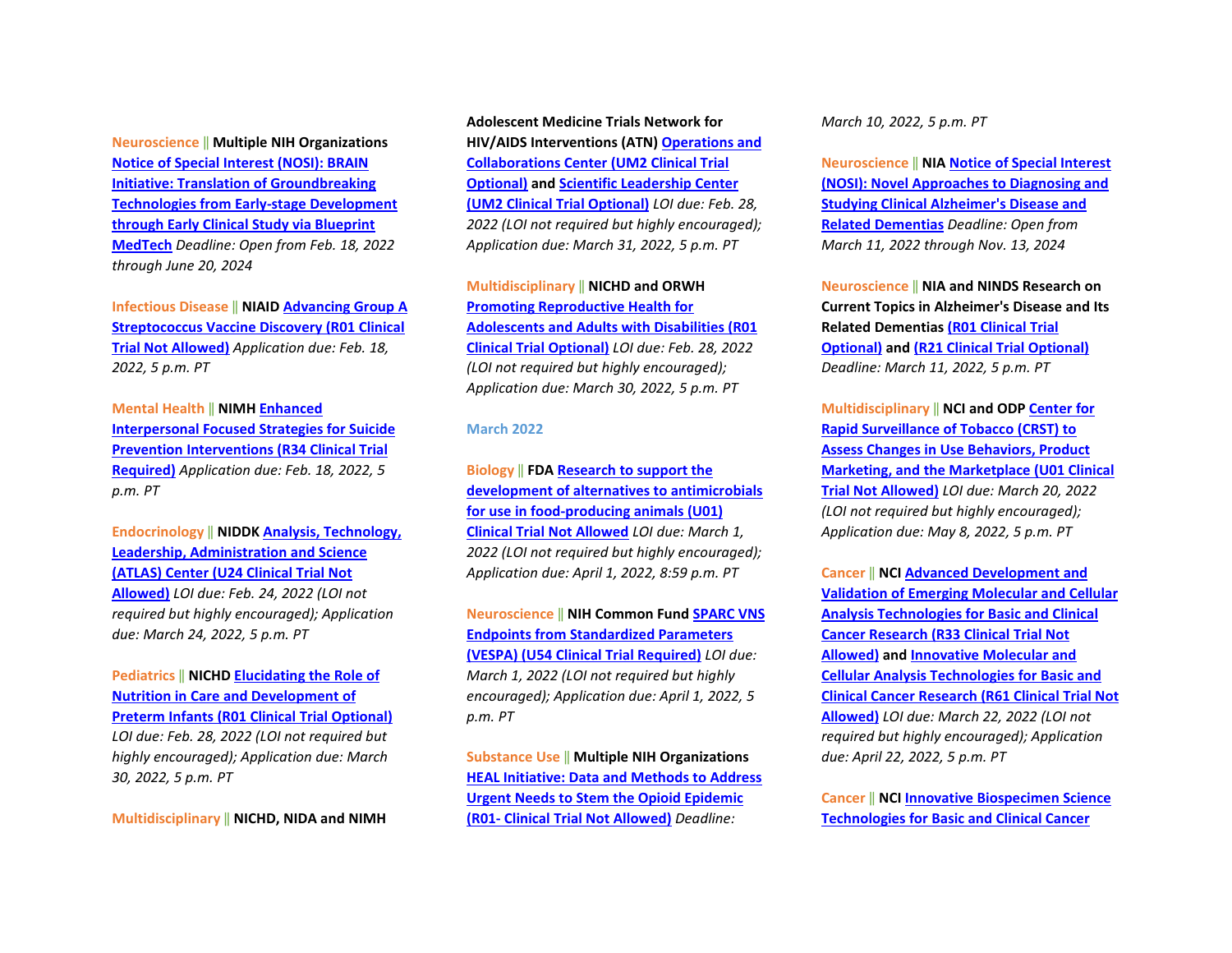**Neuroscience** ‖ **Multiple NIH Organizations [Notice of Special Interest \(NOSI\): BRAIN](https://grants.nih.gov/grants/guide/notice-files/NOT-NS-22-052.html)  [Initiative: Translation of Groundbreaking](https://grants.nih.gov/grants/guide/notice-files/NOT-NS-22-052.html)  [Technologies from Early-stage Development](https://grants.nih.gov/grants/guide/notice-files/NOT-NS-22-052.html)  [through Early Clinical Study via Blueprint](https://grants.nih.gov/grants/guide/notice-files/NOT-NS-22-052.html)  [MedTech](https://grants.nih.gov/grants/guide/notice-files/NOT-NS-22-052.html)** *Deadline: Open from Feb. 18, 2022 through June 20, 2024*

**Infectious Disease** ‖ **NIAID [Advancing Group A](https://grants.nih.gov/grants/guide/rfa-files/RFA-AI-21-070.html)  [Streptococcus Vaccine Discovery \(R01 Clinical](https://grants.nih.gov/grants/guide/rfa-files/RFA-AI-21-070.html)  [Trial Not Allowed\)](https://grants.nih.gov/grants/guide/rfa-files/RFA-AI-21-070.html)** *Application due: Feb. 18, 2022, 5 p.m. PT*

**Mental Health** ‖ **NIMH [Enhanced](https://grants.nih.gov/grants/guide/rfa-files/RFA-MH-22-125.html)  [Interpersonal Focused Strategies for Suicide](https://grants.nih.gov/grants/guide/rfa-files/RFA-MH-22-125.html)  [Prevention Interventions \(R34 Clinical Trial](https://grants.nih.gov/grants/guide/rfa-files/RFA-MH-22-125.html)  [Required\)](https://grants.nih.gov/grants/guide/rfa-files/RFA-MH-22-125.html)** *Application due: Feb. 18, 2022, 5 p.m. PT*

**Endocrinology** ‖ **NIDDK [Analysis, Technology,](https://grants.nih.gov/grants/guide/rfa-files/RFA-DK-21-034.html)  [Leadership, Administration and Science](https://grants.nih.gov/grants/guide/rfa-files/RFA-DK-21-034.html)  [\(ATLAS\) Center \(U24 Clinical Trial Not](https://grants.nih.gov/grants/guide/rfa-files/RFA-DK-21-034.html)  [Allowed\)](https://grants.nih.gov/grants/guide/rfa-files/RFA-DK-21-034.html)** *LOI due: Feb. 24, 2022 (LOI not required but highly encouraged); Application due: March 24, 2022, 5 p.m. PT*

**Pediatrics** ‖ **NICH[D Elucidating the Role of](https://grants.nih.gov/grants/guide/rfa-files/RFA-HD-22-023.html)  [Nutrition in Care and Development of](https://grants.nih.gov/grants/guide/rfa-files/RFA-HD-22-023.html)  [Preterm Infants \(R01 Clinical Trial Optional\)](https://grants.nih.gov/grants/guide/rfa-files/RFA-HD-22-023.html)** *LOI due: Feb. 28, 2022 (LOI not required but highly encouraged); Application due: March 30, 2022, 5 p.m. PT* 

**Multidisciplinary** ‖ **NICHD, NIDA and NIMH** 

**Adolescent Medicine Trials Network for HIV/AIDS Interventions (ATN[\) Operations and](https://grants.nih.gov/grants/guide/rfa-files/RFA-HD-23-021.html)  [Collaborations Center \(UM2 Clinical Trial](https://grants.nih.gov/grants/guide/rfa-files/RFA-HD-23-021.html)  [Optional\)](https://grants.nih.gov/grants/guide/rfa-files/RFA-HD-23-021.html) an[d Scientific Leadership Center](https://grants.nih.gov/grants/guide/rfa-files/RFA-HD-23-020.html)  [\(UM2 Clinical Trial Optional\)](https://grants.nih.gov/grants/guide/rfa-files/RFA-HD-23-020.html)** *LOI due: Feb. 28, 2022 (LOI not required but highly encouraged); Application due: March 31, 2022, 5 p.m. PT*

**Multidisciplinary** ‖ **NICHD and ORWH [Promoting Reproductive Health for](https://grants.nih.gov/grants/guide/rfa-files/RFA-HD-23-005.html)  [Adolescents and Adults with Disabilities \(R01](https://grants.nih.gov/grants/guide/rfa-files/RFA-HD-23-005.html)  [Clinical Trial Optional\)](https://grants.nih.gov/grants/guide/rfa-files/RFA-HD-23-005.html)** *LOI due: Feb. 28, 2022 (LOI not required but highly encouraged); Application due: March 30, 2022, 5 p.m. PT*

#### **March 2022**

**Biology** ‖ **FD[A Research to support the](https://grants.nih.gov/grants/guide/pa-files/PAR-22-087.html)  [development of alternatives to antimicrobials](https://grants.nih.gov/grants/guide/pa-files/PAR-22-087.html)  [for use in food-producing animals \(U01\)](https://grants.nih.gov/grants/guide/pa-files/PAR-22-087.html)  [Clinical Trial Not Allowed](https://grants.nih.gov/grants/guide/pa-files/PAR-22-087.html)** *LOI due: March 1, 2022 (LOI not required but highly encouraged); Application due: April 1, 2022, 8:59 p.m. PT* 

**Neuroscience** ‖ **NIH Common Fun[d SPARC VNS](https://grants.nih.gov/grants/guide/rfa-files/RFA-RM-22-002.html)  [Endpoints from Standardized Parameters](https://grants.nih.gov/grants/guide/rfa-files/RFA-RM-22-002.html)  [\(VESPA\) \(U54 Clinical](https://grants.nih.gov/grants/guide/rfa-files/RFA-RM-22-002.html) Trial Required)** *LOI due: March 1, 2022 (LOI not required but highly encouraged); Application due: April 1, 2022, 5 p.m. PT* 

**Substance Use** ‖ **Multiple NIH Organizations [HEAL Initiative: Data and Methods to Address](https://grants.nih.gov/grants/guide/rfa-files/RFA-DA-22-044.html)  [Urgent Needs to Stem the Opioid Epidemic](https://grants.nih.gov/grants/guide/rfa-files/RFA-DA-22-044.html)  (R01- [Clinical Trial Not Allowed\)](https://grants.nih.gov/grants/guide/rfa-files/RFA-DA-22-044.html)** *Deadline:* 

*March 10, 2022, 5 p.m. PT* 

**Neuroscience** ‖ **NI[A Notice of Special Interest](https://grants.nih.gov/grants/guide/notice-files/NOT-AG-21-036.html)  [\(NOSI\): Novel Approaches to Diagnosing and](https://grants.nih.gov/grants/guide/notice-files/NOT-AG-21-036.html)  [Studying Clinical Alzheimer's Disease and](https://grants.nih.gov/grants/guide/notice-files/NOT-AG-21-036.html)  [Related Dementias](https://grants.nih.gov/grants/guide/notice-files/NOT-AG-21-036.html)** *Deadline: Open from March 11, 2022 through Nov. 13, 2024*

**Neuroscience** ‖ **NIA and NINDS Research on Current Topics in Alzheimer's Disease and Its Related Dementias [\(R01 Clinical Trial](https://grants.nih.gov/grants/guide/pa-files/PAR-22-093.html)  [Optional\)](https://grants.nih.gov/grants/guide/pa-files/PAR-22-093.html) an[d \(R21 Clinical Trial Optional\)](https://grants.nih.gov/grants/guide/pa-files/PAR-22-094.html)** *Deadline: March 11, 2022, 5 p.m. PT*

**Multidisciplinary** ‖ **NCI and OD[P Center for](https://grants.nih.gov/grants/guide/rfa-files/RFA-OD-22-002.html)  [Rapid Surveillance of Tobacco \(CRST\) to](https://grants.nih.gov/grants/guide/rfa-files/RFA-OD-22-002.html)  [Assess Changes in Use Behaviors, Product](https://grants.nih.gov/grants/guide/rfa-files/RFA-OD-22-002.html)  Marketing, and [the Marketplace \(U01 Clinical](https://grants.nih.gov/grants/guide/rfa-files/RFA-OD-22-002.html)  [Trial Not Allowed\)](https://grants.nih.gov/grants/guide/rfa-files/RFA-OD-22-002.html)** *LOI due: March 20, 2022 (LOI not required but highly encouraged); Application due: May 8, 2022, 5 p.m. PT*

**Cancer** ‖ **NC[I Advanced Development and](https://grants.nih.gov/grants/guide/rfa-files/RFA-CA-22-002.html)  [Validation of Emerging Molecular and Cellular](https://grants.nih.gov/grants/guide/rfa-files/RFA-CA-22-002.html)  [Analysis Technologies for Basic and Clinical](https://grants.nih.gov/grants/guide/rfa-files/RFA-CA-22-002.html)  [Cancer Research \(R33 Clinical Trial Not](https://grants.nih.gov/grants/guide/rfa-files/RFA-CA-22-002.html)  [Allowed\)](https://grants.nih.gov/grants/guide/rfa-files/RFA-CA-22-002.html) an[d Innovative Molecular and](https://grants.nih.gov/grants/guide/rfa-files/RFA-CA-22-001.html)  [Cellular Analysis Technologies for Basic and](https://grants.nih.gov/grants/guide/rfa-files/RFA-CA-22-001.html)  [Clinical Cancer Research \(R61 Clinical Trial Not](https://grants.nih.gov/grants/guide/rfa-files/RFA-CA-22-001.html)  [Allowed\)](https://grants.nih.gov/grants/guide/rfa-files/RFA-CA-22-001.html)** *LOI due: March 22, 2022 (LOI not required but highly encouraged); Application due: April 22, 2022, 5 p.m. PT*

**Cancer** ‖ **NC[I Innovative Biospecimen Science](https://grants.nih.gov/grants/guide/rfa-files/RFA-CA-22-003.html)  [Technologies for Basic and Clinical Cancer](https://grants.nih.gov/grants/guide/rfa-files/RFA-CA-22-003.html)**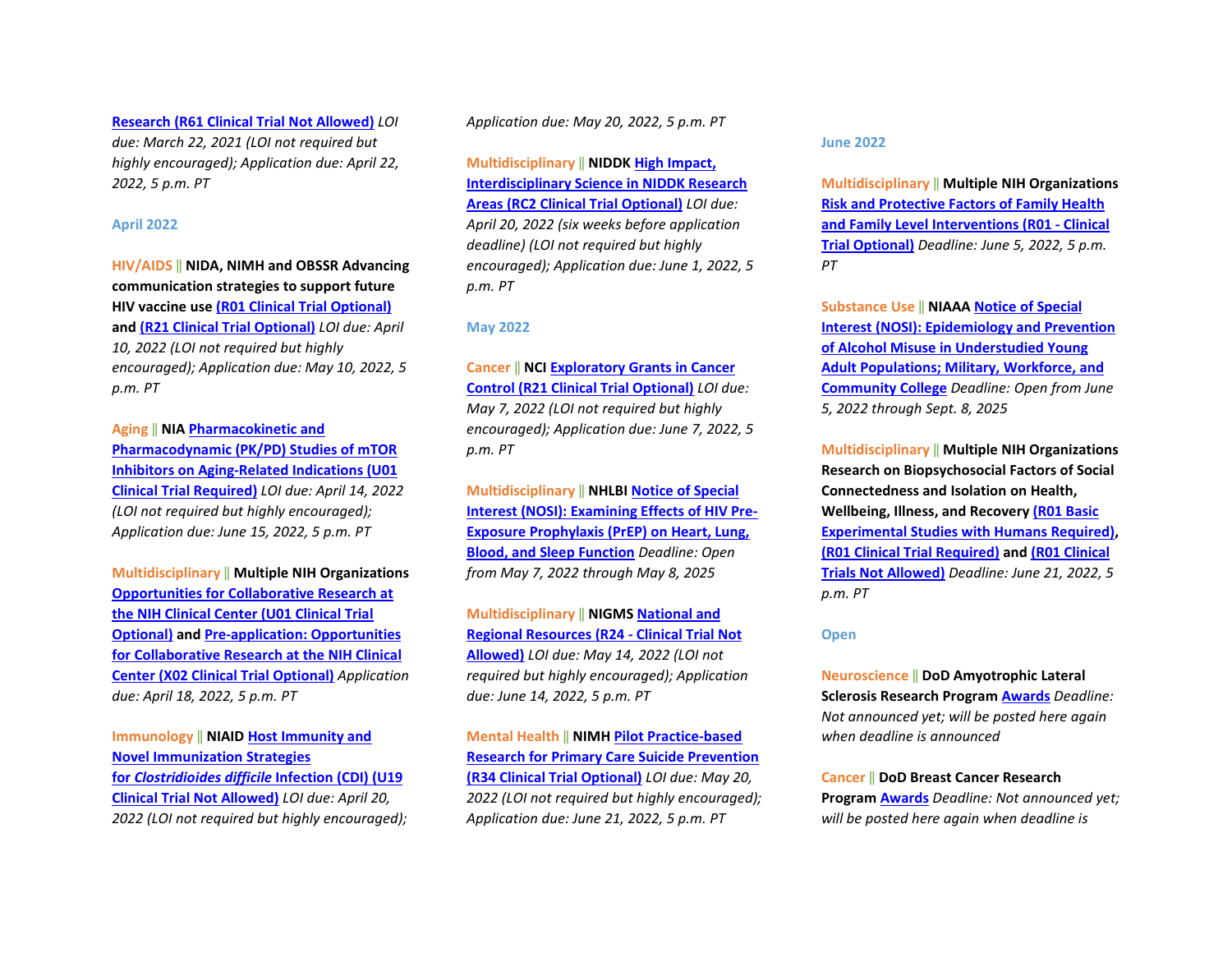**[Research \(R61 Clinical Trial Not Allowed\)](https://grants.nih.gov/grants/guide/rfa-files/RFA-CA-22-003.html)** *LOI due: March 22, 2021 (LOI not required but highly encouraged); Application due: April 22, 2022, 5 p.m. PT*

#### **April 2022**

**HIV/AIDS** ‖ **NIDA, NIMH and OBSSR Advancing communication strategies to support future HIV vaccine use [\(R01 Clinical Trial Optional\)](https://grants.nih.gov/grants/guide/rfa-files/RFA-MH-22-170.html) and [\(R21 Clinical Trial Optional\)](https://grants.nih.gov/grants/guide/rfa-files/RFA-MH-22-171.html)** *LOI due: April 10, 2022 (LOI not required but highly encouraged); Application due: May 10, 2022, 5 p.m. PT* 

**Aging** ‖ **NI[A Pharmacokinetic and](https://grants.nih.gov/grants/guide/rfa-files/RFA-AG-23-008.html)  [Pharmacodynamic \(PK/PD\) Studies of mTOR](https://grants.nih.gov/grants/guide/rfa-files/RFA-AG-23-008.html)  [Inhibitors on Aging-Related Indications \(U01](https://grants.nih.gov/grants/guide/rfa-files/RFA-AG-23-008.html)  [Clinical Trial Required\)](https://grants.nih.gov/grants/guide/rfa-files/RFA-AG-23-008.html)** *LOI due: April 14, 2022 (LOI not required but highly encouraged); Application due: June 15, 2022, 5 p.m. PT*

**Multidisciplinary** ‖ **Multiple NIH Organizations [Opportunities for Collaborative Research at](https://grants.nih.gov/grants/guide/pa-files/PAR-21-343.html)  [the NIH Clinical Center \(U01 Clinical Trial](https://grants.nih.gov/grants/guide/pa-files/PAR-21-343.html)  [Optional\)](https://grants.nih.gov/grants/guide/pa-files/PAR-21-343.html) an[d Pre-application: Opportunities](https://grants.nih.gov/grants/guide/pa-files/PAR-21-342.html)  [for Collaborative Research at the NIH Clinical](https://grants.nih.gov/grants/guide/pa-files/PAR-21-342.html)  [Center \(X02 Clinical Trial Optional\)](https://grants.nih.gov/grants/guide/pa-files/PAR-21-342.html)** *Application due: April 18, 2022, 5 p.m. PT* 

**Immunology** ‖ **NIAI[D Host Immunity and](https://grants.nih.gov/grants/guide/rfa-files/RFA-AI-22-001.html)  [Novel Immunization Strategies](https://grants.nih.gov/grants/guide/rfa-files/RFA-AI-22-001.html)  for** *[Clostridioides difficile](https://grants.nih.gov/grants/guide/rfa-files/RFA-AI-22-001.html)* **Infection (CDI) (U19 [Clinical Trial Not Allowed\)](https://grants.nih.gov/grants/guide/rfa-files/RFA-AI-22-001.html)** *LOI due: April 20, 2022 (LOI not required but highly encouraged);*  *Application due: May 20, 2022, 5 p.m. PT*

**Multidisciplinary** ‖ **NIDDK [High Impact,](https://grants.nih.gov/grants/guide/pa-files/PAR-22-069.html)  [Interdisciplinary Science in NIDDK Research](https://grants.nih.gov/grants/guide/pa-files/PAR-22-069.html)  [Areas \(RC2 Clinical Trial Optional\)](https://grants.nih.gov/grants/guide/pa-files/PAR-22-069.html)** *LOI due: April 20, 2022 (six weeks before application deadline) (LOI not required but highly encouraged); Application due: June 1, 2022, 5 p.m. PT*

#### **May 2022**

**Cancer** ‖ **NC[I Exploratory Grants in Cancer](https://grants.nih.gov/grants/guide/pa-files/PAR-21-341.html)  [Control \(R21 Clinical Trial Optional\)](https://grants.nih.gov/grants/guide/pa-files/PAR-21-341.html)** *LOI due: May 7, 2022 (LOI not required but highly encouraged); Application due: June 7, 2022, 5 p.m. PT*

**Multidisciplinary** ‖ **NHLBI [Notice of Special](https://grants.nih.gov/grants/guide/notice-files/NOT-HL-21-025.html)  [Interest \(NOSI\): Examining Effects of HIV Pre-](https://grants.nih.gov/grants/guide/notice-files/NOT-HL-21-025.html)[Exposure Prophylaxis \(PrEP\) on Heart, Lung,](https://grants.nih.gov/grants/guide/notice-files/NOT-HL-21-025.html)  [Blood, and Sleep Function](https://grants.nih.gov/grants/guide/notice-files/NOT-HL-21-025.html)** *Deadline: Open from May 7, 2022 through May 8, 2025*

**Multidisciplinary** ‖ **NIGM[S National and](https://grants.nih.gov/grants/guide/pa-files/PAR-22-065.html)  [Regional Resources \(R24 -](https://grants.nih.gov/grants/guide/pa-files/PAR-22-065.html) Clinical Trial Not [Allowed\)](https://grants.nih.gov/grants/guide/pa-files/PAR-22-065.html)** *LOI due: May 14, 2022 (LOI not required but highly encouraged); Application due: June 14, 2022, 5 p.m. PT*

**Mental Health** ‖ **NIMH [Pilot Practice-based](https://grants.nih.gov/grants/guide/rfa-files/RFA-MH-22-120.html)  [Research for Primary Care Suicide Prevention](https://grants.nih.gov/grants/guide/rfa-files/RFA-MH-22-120.html)  [\(R34 Clinical Trial Optional\)](https://grants.nih.gov/grants/guide/rfa-files/RFA-MH-22-120.html)** *LOI due: May 20, 2022 (LOI not required but highly encouraged); Application due: June 21, 2022, 5 p.m. PT*

**June 2022** 

**Multidisciplinary** ‖ **Multiple NIH Organizations [Risk and Protective Factors of Family Health](https://grants.nih.gov/grants/guide/pa-files/PAR-21-358.html)  [and Family Level Interventions \(R01 -](https://grants.nih.gov/grants/guide/pa-files/PAR-21-358.html) Clinical [Trial Optional\)](https://grants.nih.gov/grants/guide/pa-files/PAR-21-358.html)** *Deadline: June 5, 2022, 5 p.m. PT*

**Substance Use** ‖ **NIAA[A Notice of Special](https://grants.nih.gov/grants/guide/notice-files/NOT-AA-22-001.html)  [Interest \(NOSI\): Epidemiology and Prevention](https://grants.nih.gov/grants/guide/notice-files/NOT-AA-22-001.html)  [of Alcohol Misuse in Understudied Young](https://grants.nih.gov/grants/guide/notice-files/NOT-AA-22-001.html)  [Adult Populations; Military, Workforce, and](https://grants.nih.gov/grants/guide/notice-files/NOT-AA-22-001.html)  [Community College](https://grants.nih.gov/grants/guide/notice-files/NOT-AA-22-001.html)** *Deadline: Open from June 5, 2022 through Sept. 8, 2025*

**Multidisciplinary** ‖ **Multiple NIH Organizations Research on Biopsychosocial Factors of Social Connectedness and Isolation on Health, Wellbeing, Illness, and Recovery [\(R01 Basic](https://grants.nih.gov/grants/guide/pa-files/PAR-21-349.html)  [Experimental Studies with Humans Required\),](https://grants.nih.gov/grants/guide/pa-files/PAR-21-349.html) [\(R01 Clinical Trial Required\)](https://grants.nih.gov/grants/guide/pa-files/PAR-21-352.html) an[d \(R01 Clinical](https://grants.nih.gov/grants/guide/pa-files/PAR-21-350.html)  [Trials Not Allowed\)](https://grants.nih.gov/grants/guide/pa-files/PAR-21-350.html)** *Deadline: June 21, 2022, 5 p.m. PT*

#### **Open**

**Neuroscience** ‖ **DoD Amyotrophic Lateral Sclerosis Research Program [Awards](https://cdmrp.army.mil/pubs/press/2022/22alsrppreann)** *Deadline: Not announced yet; will be posted here again when deadline is announced*

**Cancer** ‖ **DoD Breast Cancer Research Program [Awards](https://cdmrp.army.mil/pubs/press/2022/22bcrppreann)** *Deadline: Not announced yet; will be posted here again when deadline is*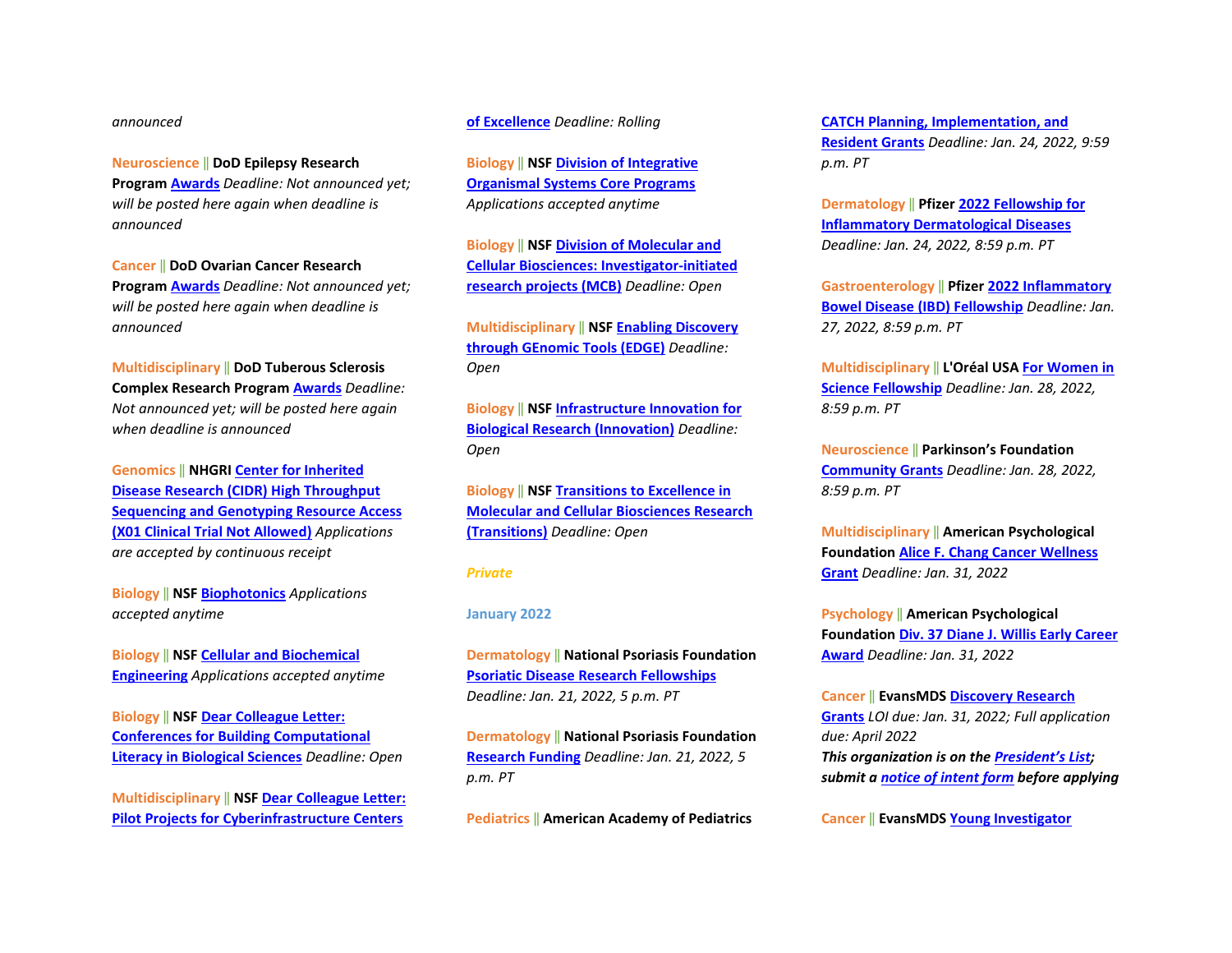#### *announced*

**Neuroscience** ‖ **DoD Epilepsy Research** 

**Program [Awards](https://cdmrp.army.mil/pubs/press/2022/22erppreann)** *Deadline: Not announced yet; will be posted here again when deadline is announced*

**Cancer** ‖ **DoD Ovarian Cancer Research Program [Awards](https://cdmrp.army.mil/pubs/press/2022/22ocrppreann)** *Deadline: Not announced yet; will be posted here again when deadline is announced* 

**Multidisciplinary** ‖ **DoD Tuberous Sclerosis Complex Research Progra[m Awards](https://cdmrp.army.mil/pubs/press/2022/22tscrppreann)** *Deadline: Not announced yet; will be posted here again when deadline is announced*

**Genomics** ‖ **NHGRI [Center for Inherited](https://grants.nih.gov/grants/guide/pa-files/PAR-20-230.html)  [Disease Research \(CIDR\) High Throughput](https://grants.nih.gov/grants/guide/pa-files/PAR-20-230.html)  [Sequencing and Genotyping Resource Access](https://grants.nih.gov/grants/guide/pa-files/PAR-20-230.html)  [\(X01 Clinical Trial Not Allowed\)](https://grants.nih.gov/grants/guide/pa-files/PAR-20-230.html)** *Applications are accepted by continuous receipt* 

**Biology** ‖ **NSF [Biophotonics](https://www.nsf.gov/funding/pgm_summ.jsp?pims_id=505719)** *Applications accepted anytime*

**Biology** ‖ **NSF [Cellular and Biochemical](https://www.nsf.gov/funding/pgm_summ.jsp?pims_id=505721)  [Engineering](https://www.nsf.gov/funding/pgm_summ.jsp?pims_id=505721)** *Applications accepted anytime* 

**Biology** ‖ **NSF [Dear Colleague Letter:](https://www.nsf.gov/pubs/2020/nsf20074/nsf20074.jsp?WT.mc_id=USNSF_25&WT.mc_ev=click)  [Conferences for Building Computational](https://www.nsf.gov/pubs/2020/nsf20074/nsf20074.jsp?WT.mc_id=USNSF_25&WT.mc_ev=click)  [Literacy in Biological Sciences](https://www.nsf.gov/pubs/2020/nsf20074/nsf20074.jsp?WT.mc_id=USNSF_25&WT.mc_ev=click)** *Deadline: Open* 

**Multidisciplinary** ‖ **NS[F Dear Colleague Letter:](https://www.nsf.gov/pubs/2021/nsf21037/nsf21037.jsp?WT.mc_id=USNSF_25&WT.mc_ev=click)  [Pilot Projects for Cyberinfrastructure Centers](https://www.nsf.gov/pubs/2021/nsf21037/nsf21037.jsp?WT.mc_id=USNSF_25&WT.mc_ev=click)** 

**[of Excellence](https://www.nsf.gov/pubs/2021/nsf21037/nsf21037.jsp?WT.mc_id=USNSF_25&WT.mc_ev=click)** *Deadline: Rolling*

**Biology** ‖ **NSF [Division of Integrative](https://www.nsf.gov/pubs/2020/nsf20536/nsf20536.htm?WT.mc_id=USNSF_25&WT.mc_ev=click)  [Organismal Systems Core Programs](https://www.nsf.gov/pubs/2020/nsf20536/nsf20536.htm?WT.mc_id=USNSF_25&WT.mc_ev=click)** *Applications accepted anytime*

**Biology** ‖ **NSF [Division of Molecular and](https://www.nsf.gov/pubs/2021/nsf21509/nsf21509.htm?WT.mc_id=USNSF_25&WT.mc_ev=click)  [Cellular Biosciences: Investigator-initiated](https://www.nsf.gov/pubs/2021/nsf21509/nsf21509.htm?WT.mc_id=USNSF_25&WT.mc_ev=click)  [research projects \(MCB\)](https://www.nsf.gov/pubs/2021/nsf21509/nsf21509.htm?WT.mc_id=USNSF_25&WT.mc_ev=click)** *Deadline: Open*

**Multidisciplinary** ‖ **NS[F Enabling Discovery](https://www.nsf.gov/pubs/2020/nsf20532/nsf20532.htm?WT.mc_id=USNSF_25&WT.mc_ev=click)  [through GEnomic Tools \(EDGE\)](https://www.nsf.gov/pubs/2020/nsf20532/nsf20532.htm?WT.mc_id=USNSF_25&WT.mc_ev=click)** *Deadline: Open* 

**Biology** ‖ **NSF [Infrastructure Innovation for](https://www.nsf.gov/pubs/2021/nsf21502/nsf21502.htm?WT.mc_id=USNSF_25&WT.mc_ev=click)  [Biological Research \(Innovation\)](https://www.nsf.gov/pubs/2021/nsf21502/nsf21502.htm?WT.mc_id=USNSF_25&WT.mc_ev=click)** *Deadline: Open* 

**Biology** ‖ **NSF [Transitions to Excellence in](https://www.nsf.gov/pubs/2021/nsf21508/nsf21508.htm?WT.mc_id=USNSF_25&WT.mc_ev=click)  [Molecular and Cellular Biosciences Research](https://www.nsf.gov/pubs/2021/nsf21508/nsf21508.htm?WT.mc_id=USNSF_25&WT.mc_ev=click)  [\(Transitions\)](https://www.nsf.gov/pubs/2021/nsf21508/nsf21508.htm?WT.mc_id=USNSF_25&WT.mc_ev=click)** *Deadline: Open*

#### *Private*

#### **January 2022**

**Dermatology** ‖ **National Psoriasis Foundation [Psoriatic Disease Research Fellowships](https://www.psoriasis.org/psoriatic-disease-research-fellowships/)** *Deadline: Jan. 21, 2022, 5 p.m. PT*

**Dermatology** ‖ **National Psoriasis Foundation [Research Funding](https://www.psoriasis.org/available-funding-opportunities/)** *Deadline: Jan. 21, 2022, 5 p.m. PT*

**Pediatrics** ‖ **American Academy of Pediatrics** 

**[CATCH Planning, Implementation, and](https://downloads.aap.org/AAP/PDF/catchplanimpcall.pdf)  [Resident Grants](https://downloads.aap.org/AAP/PDF/catchplanimpcall.pdf)** *Deadline: Jan. 24, 2022, 9:59 p.m. PT* 

**Dermatology** ‖ **Pfizer [2022 Fellowship for](https://cdn.pfizer.com/pfizercom/2021-12/GMG_2022-I%26I-L_FellowshipInflammatoryDermatologicalDiseases.pdf?ztvEi3iNxAggVRw36cu4G_YLoNoXtVSx)  [Inflammatory Dermatological Diseases](https://cdn.pfizer.com/pfizercom/2021-12/GMG_2022-I%26I-L_FellowshipInflammatoryDermatologicalDiseases.pdf?ztvEi3iNxAggVRw36cu4G_YLoNoXtVSx)** *Deadline: Jan. 24, 2022, 8:59 p.m. PT*

**Gastroenterology** ‖ **Pfizer [2022 Inflammatory](https://cdn.pfizer.com/pfizercom/2021-11/GMG_2022-I%26I-L_USIBDFellowship.pdf?tkRvfjnp4PZANhOcpaUnStVSyPQGSTbl)  [Bowel Disease \(IBD\) Fellowship](https://cdn.pfizer.com/pfizercom/2021-11/GMG_2022-I%26I-L_USIBDFellowship.pdf?tkRvfjnp4PZANhOcpaUnStVSyPQGSTbl)** *Deadline: Jan. 27, 2022, 8:59 p.m. PT* 

**Multidisciplinary** ‖ **L'Oréal US[A For Women in](https://www.loreal.com/en/usa/pages/group/fwis/)  [Science Fellowship](https://www.loreal.com/en/usa/pages/group/fwis/)** *Deadline: Jan. 28, 2022, 8:59 p.m. PT* 

**Neuroscience** ‖ **Parkinson's Foundation [Community Grants](https://www.parkinson.org/get-involved/Community-Grants?_ga=2.200388846.1377060880.1639061524-1073225536.1633362337)** *Deadline: Jan. 28, 2022, 8:59 p.m. PT*

**Multidisciplinary** ‖ **American Psychological Foundation [Alice F. Chang Cancer Wellness](https://www.apa.org/apf/funding/chang?tab=1)  [Grant](https://www.apa.org/apf/funding/chang?tab=1)** *Deadline: Jan. 31, 2022*

**Psychology** ‖ **American Psychological Foundation [Div. 37 Diane J. Willis Early Career](https://www.apa.org/apf/funding/div-37-willis?tab=1)  [Award](https://www.apa.org/apf/funding/div-37-willis?tab=1)** *Deadline: Jan. 31, 2022*

**Cancer** ‖ **EvansMDS [Discovery Research](https://evansmds.org/funding-information/)  [Grants](https://evansmds.org/funding-information/)** *LOI due: Jan. 31, 2022; Full application due: April 2022 This organization is on th[e President's List;](https://o2.ohsu.edu/foundations/research-program-grants/ohsu-presidents-list/index.cfm)  submit a [notice of intent form](https://app.smartsheet.com/b/form?EQBCT=b4b914967b774308b1947bbf8ab27b15) before applying* 

**Cancer** ‖ **EvansMDS [Young Investigator](https://evansmds.org/funding-information/)**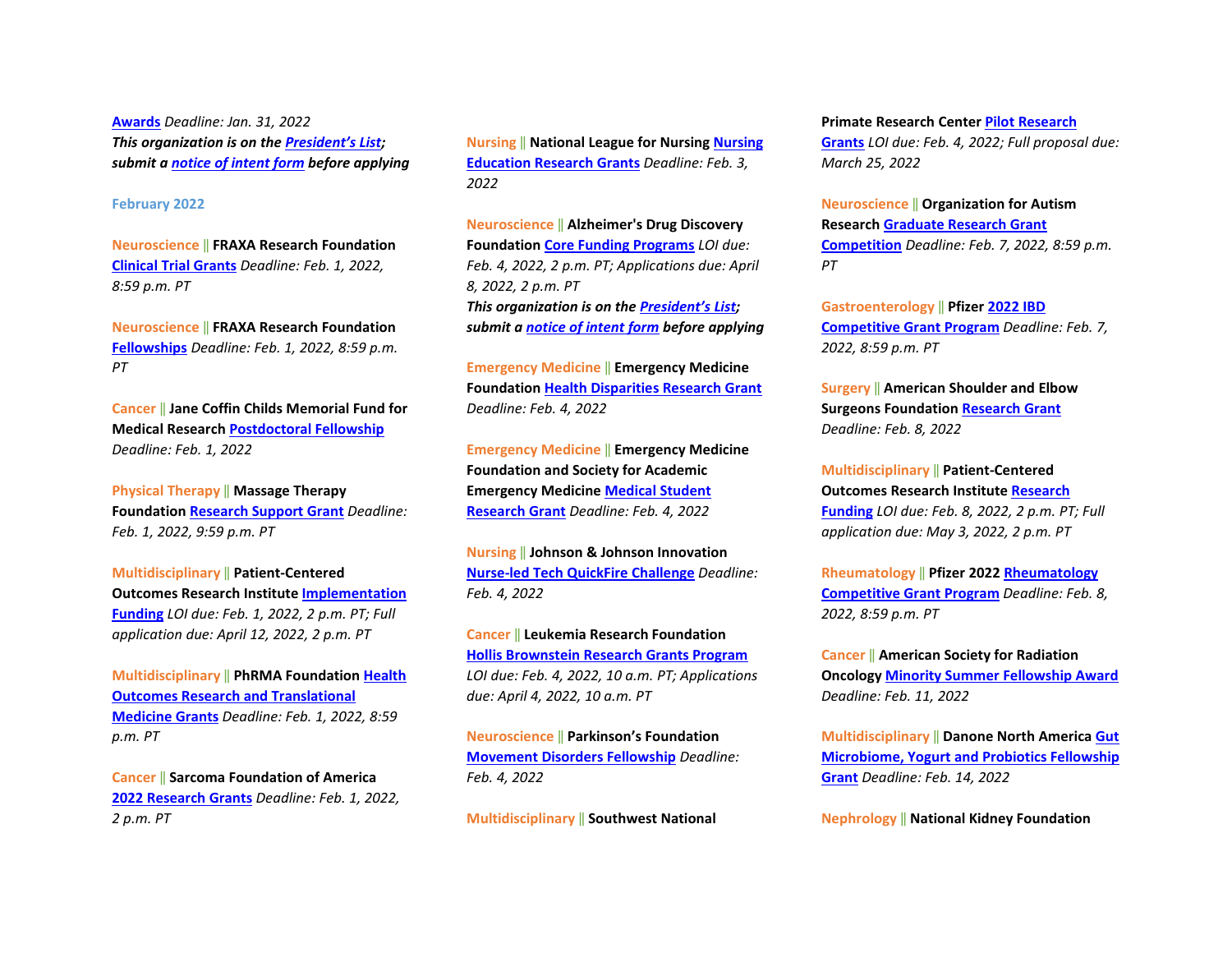**[Awards](https://evansmds.org/funding-information/)** *Deadline: Jan. 31, 2022 This organization is on th[e President's List;](https://o2.ohsu.edu/foundations/research-program-grants/ohsu-presidents-list/index.cfm)  submit a [notice of intent form](https://app.smartsheet.com/b/form?EQBCT=b4b914967b774308b1947bbf8ab27b15) before applying* 

#### **February 2022**

**Neuroscience** ‖ **FRAXA Research Foundation [Clinical Trial Grants](https://www.fraxa.org/fragile-x-research/grant-application/)** *Deadline: Feb. 1, 2022, 8:59 p.m. PT*

**Neuroscience** ‖ **FRAXA Research Foundation [Fellowships](https://www.fraxa.org/fragile-x-research/grant-application/)** *Deadline: Feb. 1, 2022, 8:59 p.m. PT*

**Cancer** ‖ **Jane Coffin Childs Memorial Fund for Medical Researc[h Postdoctoral Fellowship](https://www.jccfund.org/fellowship-information/)** *Deadline: Feb. 1, 2022*

**Physical Therapy** ‖ **Massage Therapy Foundation [Research Support Grant](http://massagetherapyfoundation.org/grants-and-contests/research-grants/)** *Deadline: Feb. 1, 2022, 9:59 p.m. PT*

**Multidisciplinary** ‖ **Patient-Centered Outcomes Research Institute [Implementation](https://www.pcori.org/funding-announcement-notice/new-cycle-1-2022-pcori-funding-announcements-now-open?utm_source=weeklyemail&utm_medium=email&utm_campaign=011122)  [Funding](https://www.pcori.org/funding-announcement-notice/new-cycle-1-2022-pcori-funding-announcements-now-open?utm_source=weeklyemail&utm_medium=email&utm_campaign=011122)** *LOI due: Feb. 1, 2022, 2 p.m. PT; Full application due: April 12, 2022, 2 p.m. PT*

**Multidisciplinary** ‖ **PhRMA Foundatio[n Health](https://www.phrmafoundation.org/awards/)  [Outcomes Research and Translational](https://www.phrmafoundation.org/awards/)  [Medicine Grants](https://www.phrmafoundation.org/awards/)** *Deadline: Feb. 1, 2022, 8:59 p.m. PT* 

**Cancer** ‖ **Sarcoma Foundation of America [2022 Research Grants](https://www.curesarcoma.org/sarcoma-research/apply-for-a-grant/)** *Deadline: Feb. 1, 2022, 2 p.m. PT*

**Nursing** ‖ **National League for Nursin[g Nursing](http://www.nln.org/professional-development-programs/grants-and-scholarships/nursing-education-research-grants/nln-nursing-education-research-grants-proposal-guidelines)  [Education Research Grants](http://www.nln.org/professional-development-programs/grants-and-scholarships/nursing-education-research-grants/nln-nursing-education-research-grants-proposal-guidelines)** *Deadline: Feb. 3, 2022*

**Neuroscience** ‖ **Alzheimer's Drug Discovery Foundation [Core Funding Programs](https://www.alzdiscovery.org/research-and-grants/funding-opportunities)** *LOI due: Feb. 4, 2022, 2 p.m. PT; Applications due: April 8, 2022, 2 p.m. PT This organization is on th[e President's](https://o2.ohsu.edu/foundations/research-program-grants/ohsu-presidents-list/index.cfm) List; submit a [notice of intent form](https://app.smartsheet.com/b/form?EQBCT=b4b914967b774308b1947bbf8ab27b15) before applying* 

**Emergency Medicine** ‖ **Emergency Medicine Foundation [Health Disparities Research Grant](https://www.emfoundation.org/globalassets/emf-health-disparities-research-grant-2022-2023-1.pdf)** *Deadline: Feb. 4, 2022* 

**Emergency Medicine** ‖ **Emergency Medicine Foundation and Society for Academic Emergency Medicine [Medical Student](https://www.emfoundation.org/globalassets/emf-saemf-medical-student-research-grant-2022-2023.pdf)  [Research Grant](https://www.emfoundation.org/globalassets/emf-saemf-medical-student-research-grant-2022-2023.pdf)** *Deadline: Feb. 4, 2022*

**Nursing** ‖ **Johnson & Johnson Innovation [Nurse-led Tech QuickFire Challenge](https://jlabs.jnjinnovation.com/quickfire-challenges/nurses-innovate-quickfire-challenge-healthcare-transformation-through-nurse-led-tech)** *Deadline: Feb. 4, 2022*

**Cancer** ‖ **Leukemia Research Foundation [Hollis Brownstein Research Grants Program](https://allbloodcancers.org/research-grants/)** *LOI due: Feb. 4, 2022, 10 a.m. PT; Applications due: April 4, 2022, 10 a.m. PT*

**Neuroscience** ‖ **Parkinson's Foundation [Movement Disorders Fellowship](https://www.parkinson.org/research/Grant-Opportunities/Parkinsons-Foundation-Institutional-Movement-Disorders-Training-Award)** *Deadline: Feb. 4, 2022*

**Multidisciplinary** ‖ **Southwest National** 

#### **Primate Research Cente[r Pilot Research](https://snprc.org/pilot-research-grants/)**

**[Grants](https://snprc.org/pilot-research-grants/)** *LOI due: Feb. 4, 2022; Full proposal due: March 25, 2022*

**Neuroscience** ‖ **Organization for Autism Research [Graduate Research Grant](https://researchautism.smapply.org/prog/graduate_2022/)  [Competition](https://researchautism.smapply.org/prog/graduate_2022/)** *Deadline: Feb. 7, 2022, 8:59 p.m. PT*

**Gastroenterology** ‖ **Pfizer [2022 IBD](https://cdn.pfizer.com/pfizercom/2021-11/GMG_2022-I%26I-L_IBDCompetitiveGrantProgram.pdf?sAccFVZjsRhZ1OceEUWtp4giKg9XdEKc)  [Competitive Grant Program](https://cdn.pfizer.com/pfizercom/2021-11/GMG_2022-I%26I-L_IBDCompetitiveGrantProgram.pdf?sAccFVZjsRhZ1OceEUWtp4giKg9XdEKc)** *Deadline: Feb. 7, 2022, 8:59 p.m. PT* 

**Surgery** ‖ **American Shoulder and Elbow Surgeons Foundatio[n Research Grant](https://www.ases-assn.org/about-ases/grants/)** *Deadline: Feb. 8, 2022* 

**Multidisciplinary** ‖ **Patient-Centered Outcomes Research Institute [Research](https://www.pcori.org/funding-announcement-notice/new-cycle-1-2022-pcori-funding-announcements-now-open?utm_source=weeklyemail&utm_medium=email&utm_campaign=011122)  [Funding](https://www.pcori.org/funding-announcement-notice/new-cycle-1-2022-pcori-funding-announcements-now-open?utm_source=weeklyemail&utm_medium=email&utm_campaign=011122)** *LOI due: Feb. 8, 2022, 2 p.m. PT; Full application due: May 3, 2022, 2 p.m. PT*

**Rheumatology** ‖ **Pfizer 202[2 Rheumatology](https://cdn.pfizer.com/pfizercom/2021-12/GMG_2022-I%26I-L_RheumatologyCompetitiveResearch.pdf?74iiyEAumPVCWQQ4LqPTsjejWm1fGsax)  [Competitive Grant Program](https://cdn.pfizer.com/pfizercom/2021-12/GMG_2022-I%26I-L_RheumatologyCompetitiveResearch.pdf?74iiyEAumPVCWQQ4LqPTsjejWm1fGsax)** *Deadline: Feb. 8, 2022, 8:59 p.m. PT* 

**Cancer** ‖ **American Society for Radiation Oncology [Minority Summer Fellowship Award](https://www.astro.org/Patient-Care-and-Research/Research/Funding-Opportunities/ASTRO-Minority-Summer-Fellowship-Award)** *Deadline: Feb. 11, 2022* 

**Multidisciplinary** ‖ **Danone North America [Gut](https://www.danonenorthamerica.com/fellowship-application/)  [Microbiome, Yogurt and Probiotics Fellowship](https://www.danonenorthamerica.com/fellowship-application/)  [Grant](https://www.danonenorthamerica.com/fellowship-application/)** *Deadline: Feb. 14, 2022* 

**Nephrology** ‖ **National Kidney Foundation**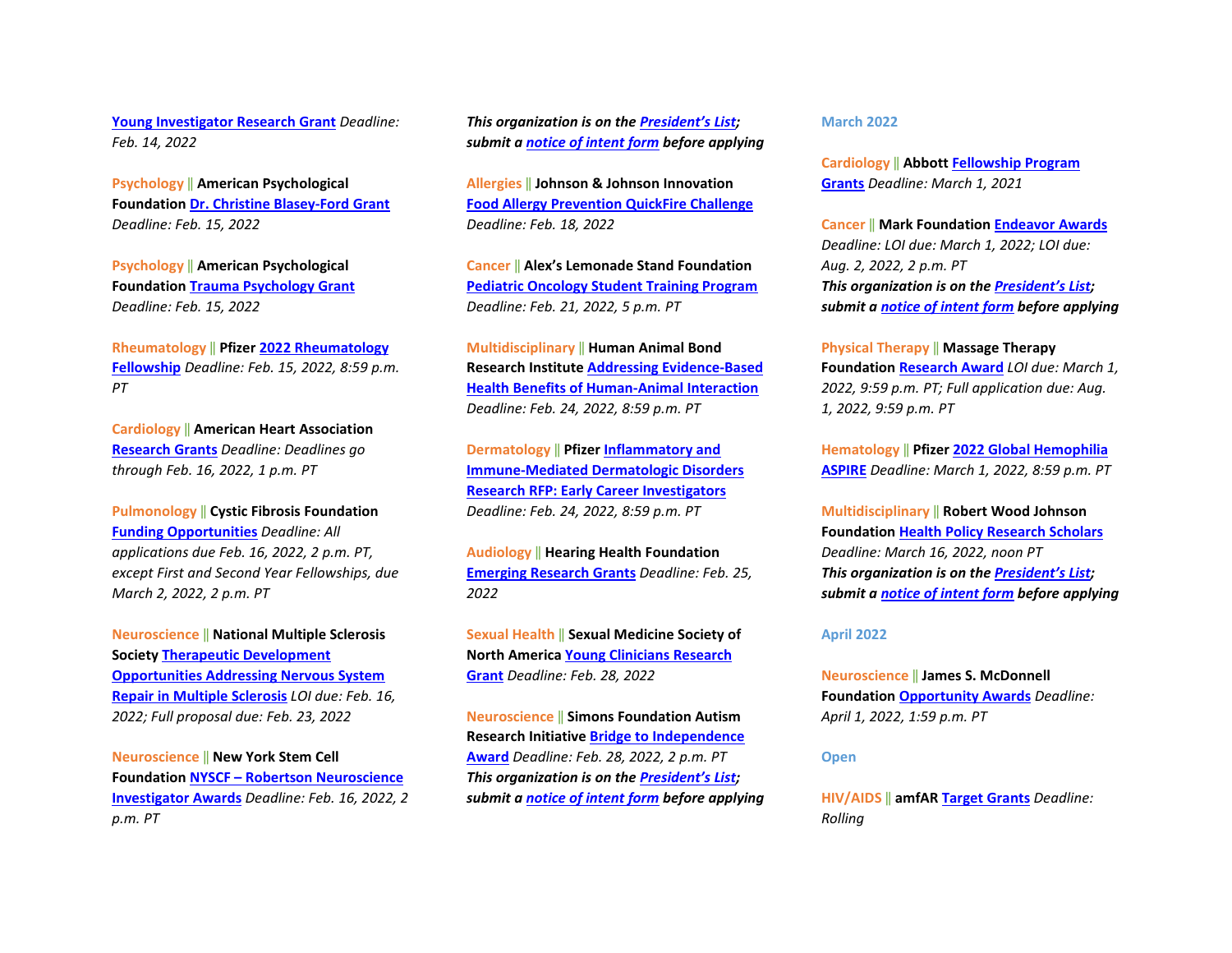**[Young Investigator Research Grant](https://www.kidney.org/professionals/research/awards)** *Deadline: Feb. 14, 2022*

**Psychology** ‖ **American Psychological Foundation [Dr. Christine Blasey-Ford Grant](https://www.apa.org/apf/funding/blasey-ford?tab=1)** *Deadline: Feb. 15, 2022*

**Psychology** ‖ **American Psychological Foundation [Trauma Psychology Grant](https://www.apa.org/apf/funding/trauma-psychology-grant?tab=1)** *Deadline: Feb. 15, 2022*

**Rheumatology** ‖ **Pfizer [2022 Rheumatology](https://cdn.pfizer.com/pfizercom/2021-12/2022%20Rheumatology%20Fellowship.pdf?ZDowZmfyMdjU9gqG2NjLpP_Wg11CHylZ)  [Fellowship](https://cdn.pfizer.com/pfizercom/2021-12/2022%20Rheumatology%20Fellowship.pdf?ZDowZmfyMdjU9gqG2NjLpP_Wg11CHylZ)** *Deadline: Feb. 15, 2022, 8:59 p.m. PT*

**Cardiology** ‖ **American Heart Association [Research Grants](https://professional.heart.org/en/research-programs/application-information?utm_source=fallwinterdeadlines&utm_medium=email&utm_campaign=email+fall+winter+deadlines)** *Deadline: Deadlines go through Feb. 16, 2022, 1 p.m. PT* 

**Pulmonology** ‖ **Cystic Fibrosis Foundation [Funding Opportunities](https://www.cff.org/research-clinical-trials/academic-funding-opportunities)** *Deadline: All applications due Feb. 16, 2022, 2 p.m. PT, except First and Second Year Fellowships, due March 2, 2022, 2 p.m. PT*

**Neuroscience** ‖ **National Multiple Sclerosis Society [Therapeutic Development](https://nmsscdn.azureedge.net/NationalMSSociety/media/MSNationalFiles/Research/Fast-Forward-2022-RFA-01-11-2022-final.pdf)  [Opportunities Addressing Nervous System](https://nmsscdn.azureedge.net/NationalMSSociety/media/MSNationalFiles/Research/Fast-Forward-2022-RFA-01-11-2022-final.pdf)  [Repair in Multiple Sclerosis](https://nmsscdn.azureedge.net/NationalMSSociety/media/MSNationalFiles/Research/Fast-Forward-2022-RFA-01-11-2022-final.pdf)** *LOI due: Feb. 16, 2022; Full proposal due: Feb. 23, 2022* 

**Neuroscience** ‖ **New York Stem Cell Foundation NYSCF – [Robertson Neuroscience](https://nyscf.org/programs/extramural-grants/applicants/neuroscience-investigator-awards/)  [Investigator Awards](https://nyscf.org/programs/extramural-grants/applicants/neuroscience-investigator-awards/)** *Deadline: Feb. 16, 2022, 2 p.m. PT*

*This organization is on th[e President's List;](https://o2.ohsu.edu/foundations/research-program-grants/ohsu-presidents-list/index.cfm)  submit a [notice of intent form](https://app.smartsheet.com/b/form?EQBCT=b4b914967b774308b1947bbf8ab27b15) before applying* 

**Allergies** ‖ **Johnson & Johnson Innovation [Food Allergy Prevention QuickFire Challenge](https://jlabs.jnjinnovation.com/quickfire-challenges/food-allergy-prevention-quickfire-challenge)** *Deadline: Feb. 18, 2022* 

**Cancer** ‖ **Alex's Lemonade Stand Foundation [Pediatric Oncology Student Training Program](https://www.alexslemonade.org/sites/default/files/images/alsf1/2022_post_program_guidelines_final.pdf)** *Deadline: Feb. 21, 2022, 5 p.m. PT* 

**Multidisciplinary** ‖ **Human Animal Bond Research Institut[e Addressing Evidence-Based](https://habri.org/grants/funding-opportunities/)  [Health Benefits of Human-Animal Interaction](https://habri.org/grants/funding-opportunities/)** *Deadline: Feb. 24, 2022, 8:59 p.m. PT*

**Dermatology** ‖ **Pfizer [Inflammatory and](https://cdn.pfizer.com/pfizercom/2021-12/GMG_2021-I%26I-L_InflammatoryImmune-MediatedDermatologicDisordersEarlyCareer.pdf?OhnHtNA2U3qGzxAgftsqpr_CTsyDk38M)  [Immune-Mediated Dermatologic Disorders](https://cdn.pfizer.com/pfizercom/2021-12/GMG_2021-I%26I-L_InflammatoryImmune-MediatedDermatologicDisordersEarlyCareer.pdf?OhnHtNA2U3qGzxAgftsqpr_CTsyDk38M)  [Research RFP: Early Career Investigators](https://cdn.pfizer.com/pfizercom/2021-12/GMG_2021-I%26I-L_InflammatoryImmune-MediatedDermatologicDisordersEarlyCareer.pdf?OhnHtNA2U3qGzxAgftsqpr_CTsyDk38M)** *Deadline: Feb. 24, 2022, 8:59 p.m. PT*

**Audiology** ‖ **Hearing Health Foundation [Emerging Research Grants](https://hearinghealthfoundation.org/how-to-apply)** *Deadline: Feb. 25, 2022*

**Sexual Health** ‖ **Sexual Medicine Society of North Americ[a Young Clinicians Research](https://www.smsna.org/grants/smsna-young-clinicians-research-grant)  [Grant](https://www.smsna.org/grants/smsna-young-clinicians-research-grant)** *Deadline: Feb. 28, 2022*

**Neuroscience** ‖ **Simons Foundation Autism Research Initiative [Bridge to Independence](https://www.sfari.org/grant/bridge-to-independence-award-request-for-applications/?tab=overview)  [Award](https://www.sfari.org/grant/bridge-to-independence-award-request-for-applications/?tab=overview)** *Deadline: Feb. 28, 2022, 2 p.m. PT This organization is on th[e President's List;](https://o2.ohsu.edu/foundations/research-program-grants/ohsu-presidents-list/index.cfm)  submit a [notice of intent form](https://app.smartsheet.com/b/form?EQBCT=b4b914967b774308b1947bbf8ab27b15) before applying*  **March 2022** 

**Cardiology** ‖ **Abbott [Fellowship Program](https://www.cardiovascular.abbott/us/en/hcp/education-training/grants/ht-tab/fellowship-program-grants.html)  [Grants](https://www.cardiovascular.abbott/us/en/hcp/education-training/grants/ht-tab/fellowship-program-grants.html)** *Deadline: March 1, 2021* 

**Cancer** ‖ **Mark Foundation [Endeavor Awards](https://themarkfoundation.org/endeavor/)** *Deadline: LOI due: March 1, 2022; LOI due: Aug. 2, 2022, 2 p.m. PT This organization is on th[e President's List;](https://o2.ohsu.edu/foundations/research-program-grants/ohsu-presidents-list/index.cfm)  submit a [notice of intent form](https://app.smartsheet.com/b/form?EQBCT=b4b914967b774308b1947bbf8ab27b15) before applying* 

**Physical Therapy** ‖ **Massage Therapy Foundation [Research Award](http://massagetherapyfoundation.org/grants-and-contests/research-grants/)** *LOI due: March 1, 2022, 9:59 p.m. PT; Full application due: Aug. 1, 2022, 9:59 p.m. PT*

**Hematology** ‖ **Pfizer [2022 Global Hemophilia](https://cdn.pfizer.com/pfizercom/2021-11/2022-RD-G_GlobalHemophiliaASPIRE.pdf?Uke3UueSh3QRVpp1KaSg5Ak_Wuk3aGhM)  [ASPIRE](https://cdn.pfizer.com/pfizercom/2021-11/2022-RD-G_GlobalHemophiliaASPIRE.pdf?Uke3UueSh3QRVpp1KaSg5Ak_Wuk3aGhM)** *Deadline: March 1, 2022, 8:59 p.m. PT*

**Multidisciplinary** ‖ **Robert Wood Johnson Foundation [Health Policy Research Scholars](https://www.rwjf.org/en/library/funding-opportunities/2022/health-policy-research-scholars.html)** *Deadline: March 16, 2022, noon PT This organization is on th[e President's List;](https://o2.ohsu.edu/foundations/research-program-grants/ohsu-presidents-list/index.cfm)  submit a [notice of intent form](https://app.smartsheet.com/b/form?EQBCT=b4b914967b774308b1947bbf8ab27b15) before applying*

#### **April 2022**

**Neuroscience** ‖ **James S. McDonnell Foundation [Opportunity Awards](https://www.jsmf.org/apply/opportunity/)** *Deadline: April 1, 2022, 1:59 p.m. PT*

#### **Open**

**HIV/AIDS** ‖ **amfA[R Target Grants](https://www.amfar.org/target-grants-rfp-new/)** *Deadline: Rolling*